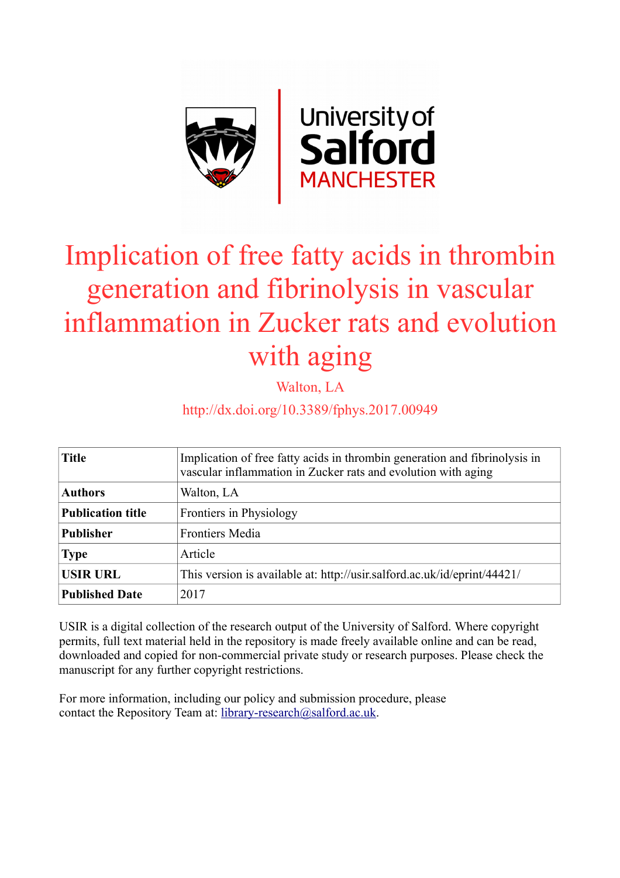

# Implication of free fatty acids in thrombin generation and fibrinolysis in vascular inflammation in Zucker rats and evolution with aging

Walton, LA

http://dx.doi.org/10.3389/fphys.2017.00949

| <b>Title</b>             | Implication of free fatty acids in thrombin generation and fibrinolysis in<br>vascular inflammation in Zucker rats and evolution with aging |  |  |  |  |
|--------------------------|---------------------------------------------------------------------------------------------------------------------------------------------|--|--|--|--|
| <b>Authors</b>           | Walton, LA                                                                                                                                  |  |  |  |  |
| <b>Publication title</b> | Frontiers in Physiology                                                                                                                     |  |  |  |  |
| <b>Publisher</b>         | <b>Frontiers Media</b>                                                                                                                      |  |  |  |  |
| <b>Type</b>              | Article                                                                                                                                     |  |  |  |  |
| <b>USIR URL</b>          | This version is available at: http://usir.salford.ac.uk/id/eprint/44421/                                                                    |  |  |  |  |
| <b>Published Date</b>    | 2017                                                                                                                                        |  |  |  |  |

USIR is a digital collection of the research output of the University of Salford. Where copyright permits, full text material held in the repository is made freely available online and can be read, downloaded and copied for non-commercial private study or research purposes. Please check the manuscript for any further copyright restrictions.

For more information, including our policy and submission procedure, please contact the Repository Team at: [library-research@salford.ac.uk.](mailto:library-research@salford.ac.uk)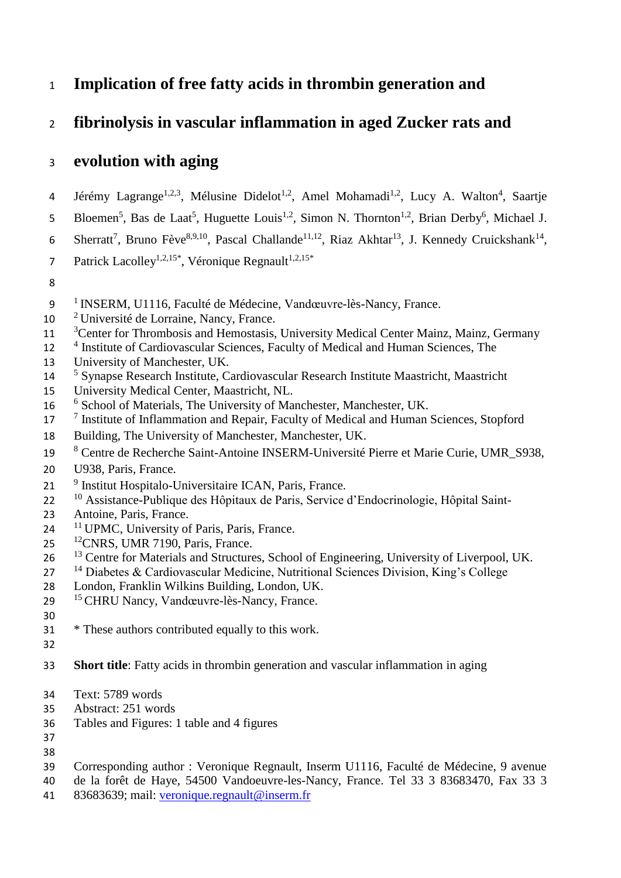# **Implication of free fatty acids in thrombin generation and**

# **fibrinolysis in vascular inflammation in aged Zucker rats and**

# **evolution with aging**

- 4 Jérémy Lagrange<sup>1,2,3</sup>, Mélusine Didelot<sup>1,2</sup>, Amel Mohamadi<sup>1,2</sup>, Lucy A. Walton<sup>4</sup>, Saartje
- 5 Bloemen<sup>5</sup>, Bas de Laat<sup>5</sup>, Huguette Louis<sup>1,2</sup>, Simon N. Thornton<sup>1,2</sup>, Brian Derby<sup>6</sup>, Michael J.
- 6 Sherratt<sup>7</sup>, Bruno Fève<sup>8,9,10</sup>, Pascal Challande<sup>11,12</sup>, Riaz Akhtar<sup>13</sup>, J. Kennedy Cruickshank<sup>14</sup>,
- Patrick Lacolley<sup>1,2,15\*</sup>, Véronique Regnault<sup>1,2,15\*</sup>
- 
- <sup>1</sup> INSERM, U1116, Faculté de Médecine, Vandœuvre-lès-Nancy, France.
- <sup>2</sup> Université de Lorraine, Nancy, France.
- <sup>3</sup> Center for Thrombosis and Hemostasis, University Medical Center Mainz, Mainz, Germany
- 12 <sup>4</sup> Institute of Cardiovascular Sciences, Faculty of Medical and Human Sciences, The
- University of Manchester, UK.
- <sup>5</sup> Synapse Research Institute, Cardiovascular Research Institute Maastricht, Maastricht
- University Medical Center, Maastricht, NL.
- 16 <sup>6</sup> School of Materials, The University of Manchester, Manchester, UK.
- <sup>7</sup> Institute of Inflammation and Repair, Faculty of Medical and Human Sciences, Stopford
- Building, The University of Manchester, Manchester, UK.
- <sup>8</sup> Centre de Recherche Saint-Antoine INSERM-Université Pierre et Marie Curie, UMR\_S938,
- U938, Paris, France.
- 21 <sup>9</sup> Institut Hospitalo-Universitaire ICAN, Paris, France.
- 22 <sup>10</sup> Assistance-Publique des Hôpitaux de Paris, Service d'Endocrinologie, Hôpital Saint-
- Antoine, Paris, France.
- 24 <sup>11</sup> UPMC, University of Paris, Paris, France.
- <sup>12</sup> CNRS, UMR 7190, Paris, France.
- <sup>13</sup> Centre for Materials and Structures, School of Engineering, University of Liverpool, UK.
- Diabetes & Cardiovascular Medicine, Nutritional Sciences Division, King's College
- London, Franklin Wilkins Building, London, UK.
- <sup>15</sup> CHRU Nancy, Vandœuvre-lès-Nancy, France.
- 
- \* These authors contributed equally to this work.
- 
- **Short title**: Fatty acids in thrombin generation and vascular inflammation in aging
- Text: 5789 words
- Abstract: 251 words
- Tables and Figures: 1 table and 4 figures
- 
- Corresponding author : Veronique Regnault, Inserm U1116, Faculté de Médecine, 9 avenue
- de la forêt de Haye, 54500 Vandoeuvre-les-Nancy, France. Tel 33 3 83683470, Fax 33 3
- 83683639; mail: [veronique.regnault@inserm.fr](mailto:veronique.regnault@inserm.fr)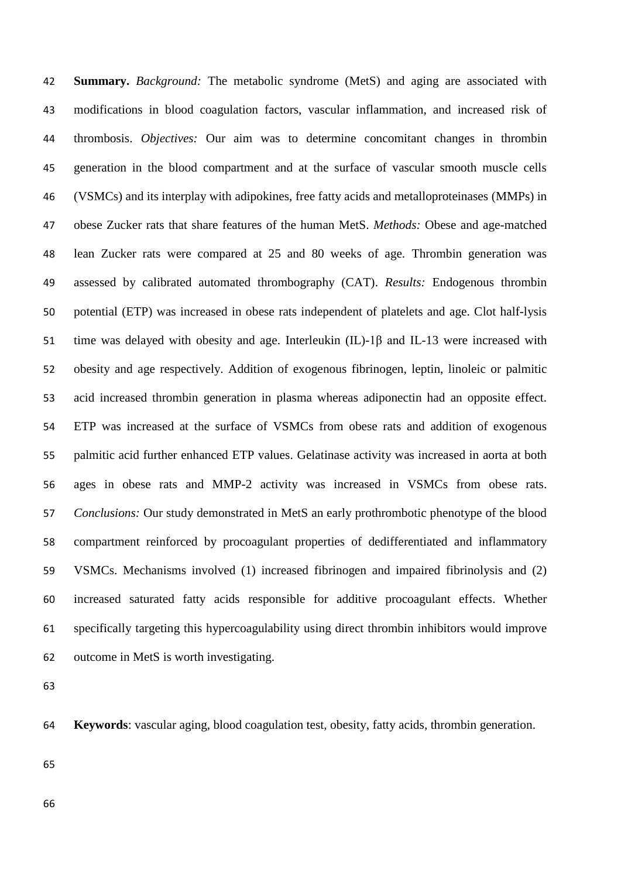**Summary.** *Background:* The metabolic syndrome (MetS) and aging are associated with modifications in blood coagulation factors, vascular inflammation, and increased risk of thrombosis. *Objectives:* Our aim was to determine concomitant changes in thrombin generation in the blood compartment and at the surface of vascular smooth muscle cells (VSMCs) and its interplay with adipokines, free fatty acids and metalloproteinases (MMPs) in obese Zucker rats that share features of the human MetS. *Methods:* Obese and age-matched lean Zucker rats were compared at 25 and 80 weeks of age. Thrombin generation was assessed by calibrated automated thrombography (CAT). *Results:* Endogenous thrombin potential (ETP) was increased in obese rats independent of platelets and age. Clot half-lysis time was delayed with obesity and age. Interleukin (IL)-1β and IL-13 were increased with obesity and age respectively. Addition of exogenous fibrinogen, leptin, linoleic or palmitic acid increased thrombin generation in plasma whereas adiponectin had an opposite effect. ETP was increased at the surface of VSMCs from obese rats and addition of exogenous palmitic acid further enhanced ETP values. Gelatinase activity was increased in aorta at both ages in obese rats and MMP-2 activity was increased in VSMCs from obese rats. *Conclusions:* Our study demonstrated in MetS an early prothrombotic phenotype of the blood compartment reinforced by procoagulant properties of dedifferentiated and inflammatory VSMCs. Mechanisms involved (1) increased fibrinogen and impaired fibrinolysis and (2) increased saturated fatty acids responsible for additive procoagulant effects. Whether specifically targeting this hypercoagulability using direct thrombin inhibitors would improve outcome in MetS is worth investigating.

|  |  | 64 Keywords: vascular aging, blood coagulation test, obesity, fatty acids, thrombin generation. |  |  |  |
|--|--|-------------------------------------------------------------------------------------------------|--|--|--|
|  |  |                                                                                                 |  |  |  |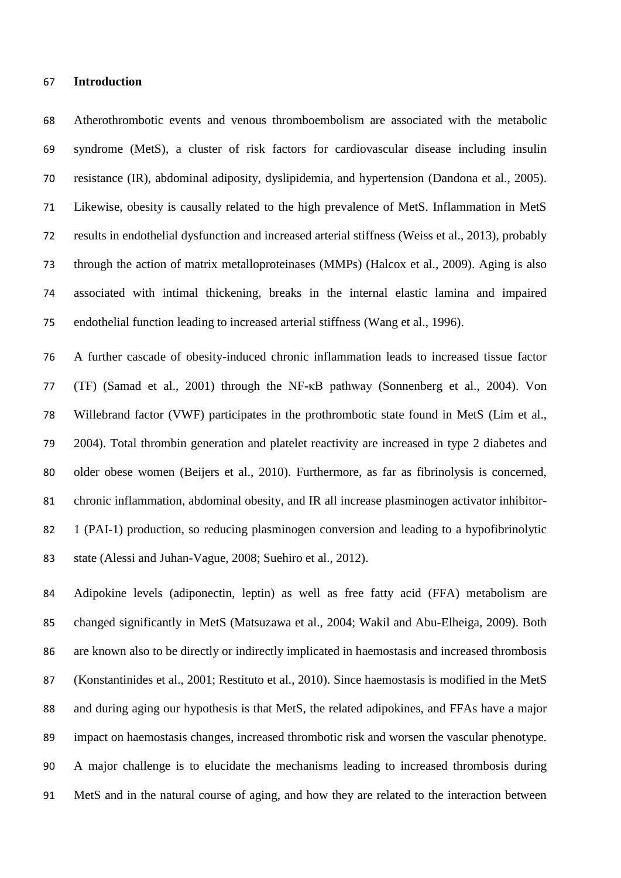#### **Introduction**

 Atherothrombotic events and venous thromboembolism are associated with the metabolic syndrome (MetS), a cluster of risk factors for cardiovascular disease including insulin resistance (IR), abdominal adiposity, dyslipidemia, and hypertension (Dandona et al., 2005). Likewise, obesity is causally related to the high prevalence of MetS. Inflammation in MetS results in endothelial dysfunction and increased arterial stiffness (Weiss et al., 2013), probably through the action of matrix metalloproteinases (MMPs) (Halcox et al., 2009). Aging is also associated with intimal thickening, breaks in the internal elastic lamina and impaired endothelial function leading to increased arterial stiffness (Wang et al., 1996).

 A further cascade of obesity-induced chronic inflammation leads to increased tissue factor (TF) (Samad et al., 2001) through the NF-κB pathway (Sonnenberg et al., 2004). Von Willebrand factor (VWF) participates in the prothrombotic state found in MetS (Lim et al., 2004). Total thrombin generation and platelet reactivity are increased in type 2 diabetes and older obese women (Beijers et al., 2010). Furthermore, as far as fibrinolysis is concerned, chronic inflammation, abdominal obesity, and IR all increase plasminogen activator inhibitor-82 1 (PAI-1) production, so reducing plasminogen conversion and leading to a hypofibrinolytic state (Alessi and Juhan-Vague, 2008; Suehiro et al., 2012).

 Adipokine levels (adiponectin, leptin) as well as free fatty acid (FFA) metabolism are changed significantly in MetS (Matsuzawa et al., 2004; Wakil and Abu-Elheiga, 2009). Both are known also to be directly or indirectly implicated in haemostasis and increased thrombosis (Konstantinides et al., 2001; Restituto et al., 2010). Since haemostasis is modified in the MetS and during aging our hypothesis is that MetS, the related adipokines, and FFAs have a major impact on haemostasis changes, increased thrombotic risk and worsen the vascular phenotype. A major challenge is to elucidate the mechanisms leading to increased thrombosis during MetS and in the natural course of aging, and how they are related to the interaction between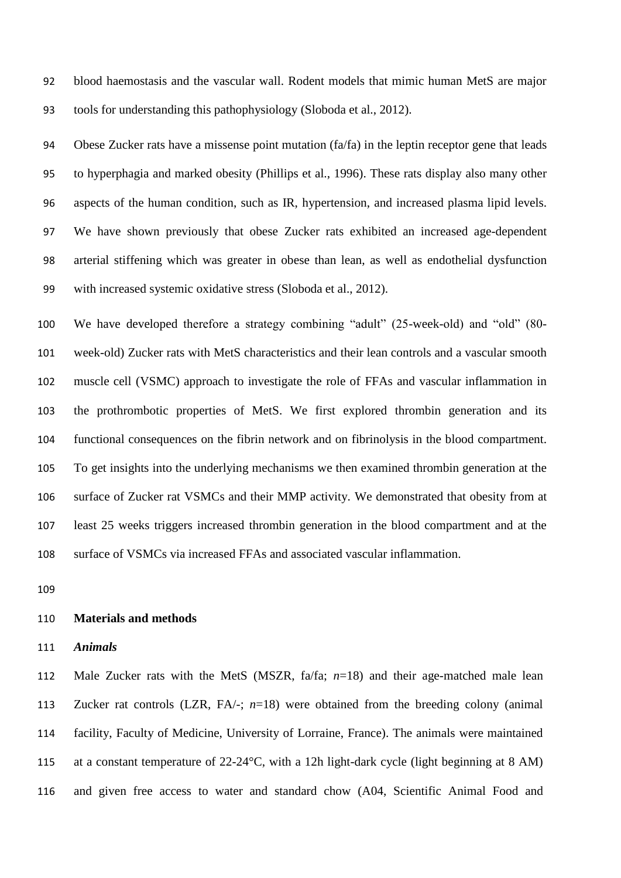blood haemostasis and the vascular wall. Rodent models that mimic human MetS are major tools for understanding this pathophysiology (Sloboda et al., 2012).

 Obese Zucker rats have a missense point mutation (fa/fa) in the leptin receptor gene that leads to hyperphagia and marked obesity (Phillips et al., 1996). These rats display also many other aspects of the human condition, such as IR, hypertension, and increased plasma lipid levels. We have shown previously that obese Zucker rats exhibited an increased age-dependent arterial stiffening which was greater in obese than lean, as well as endothelial dysfunction with increased systemic oxidative stress (Sloboda et al., 2012).

 We have developed therefore a strategy combining "adult" (25-week-old) and "old" (80- week-old) Zucker rats with MetS characteristics and their lean controls and a vascular smooth muscle cell (VSMC) approach to investigate the role of FFAs and vascular inflammation in the prothrombotic properties of MetS. We first explored thrombin generation and its functional consequences on the fibrin network and on fibrinolysis in the blood compartment. To get insights into the underlying mechanisms we then examined thrombin generation at the surface of Zucker rat VSMCs and their MMP activity. We demonstrated that obesity from at least 25 weeks triggers increased thrombin generation in the blood compartment and at the surface of VSMCs via increased FFAs and associated vascular inflammation.

#### **Materials and methods**

# *Animals*

 Male Zucker rats with the MetS (MSZR, fa/fa; *n*=18) and their age-matched male lean Zucker rat controls (LZR, FA/-; *n*=18) were obtained from the breeding colony (animal facility, Faculty of Medicine, University of Lorraine, France). The animals were maintained at a constant temperature of 22-24°C, with a 12h light-dark cycle (light beginning at 8 AM) and given free access to water and standard chow (A04, Scientific Animal Food and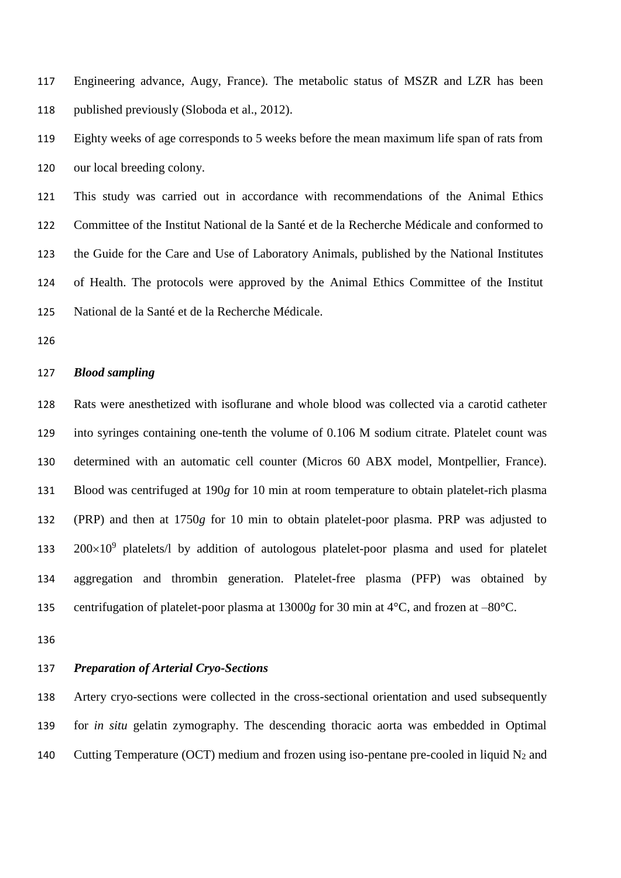Engineering advance, Augy, France). The metabolic status of MSZR and LZR has been published previously (Sloboda et al., 2012).

 Eighty weeks of age corresponds to 5 weeks before the mean maximum life span of rats from our local breeding colony.

 This study was carried out in accordance with recommendations of the Animal Ethics Committee of the Institut National de la Santé et de la Recherche Médicale and conformed to the Guide for the Care and Use of Laboratory Animals, published by the National Institutes of Health. The protocols were approved by the Animal Ethics Committee of the Institut National de la Santé et de la Recherche Médicale.

# *Blood sampling*

 Rats were anesthetized with isoflurane and whole blood was collected via a carotid catheter into syringes containing one-tenth the volume of 0.106 M sodium citrate. Platelet count was determined with an automatic cell counter (Micros 60 ABX model, Montpellier, France). Blood was centrifuged at 190*g* for 10 min at room temperature to obtain platelet-rich plasma (PRP) and then at 1750*g* for 10 min to obtain platelet-poor plasma. PRP was adjusted to  $200\times10^9$  platelets/l by addition of autologous platelet-poor plasma and used for platelet aggregation and thrombin generation. Platelet-free plasma (PFP) was obtained by centrifugation of platelet-poor plasma at 13000*g* for 30 min at 4°C, and frozen at –80°C.

# *Preparation of Arterial Cryo-Sections*

 Artery cryo-sections were collected in the cross-sectional orientation and used subsequently for *in situ* gelatin zymography. The descending thoracic aorta was embedded in Optimal 140 Cutting Temperature (OCT) medium and frozen using iso-pentane pre-cooled in liquid  $N_2$  and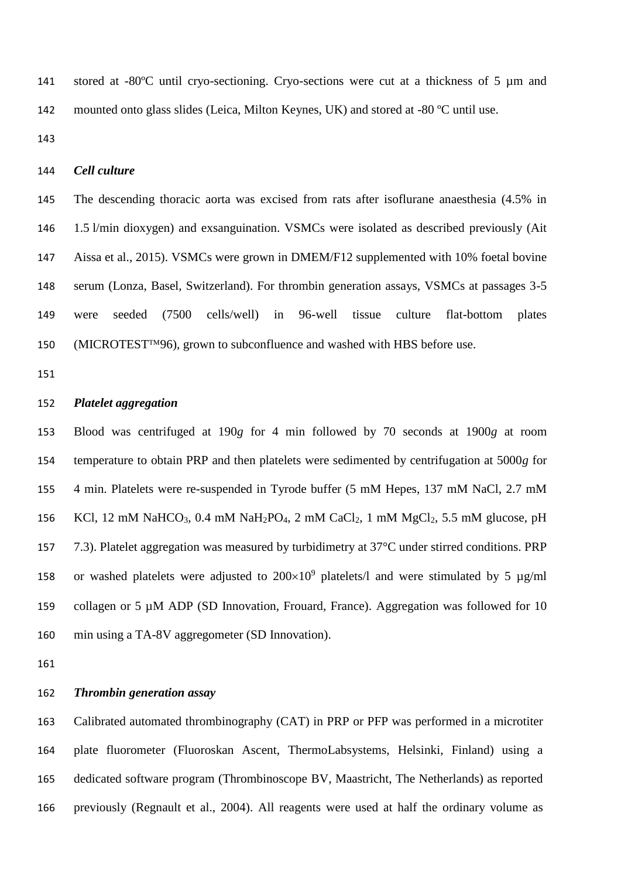stored at -80ºC until cryo-sectioning. Cryo-sections were cut at a thickness of 5 µm and mounted onto glass slides (Leica, Milton Keynes, UK) and stored at -80 ºC until use.

## *Cell culture*

 The descending thoracic aorta was excised from rats after isoflurane anaesthesia (4.5% in 1.5 l/min dioxygen) and exsanguination. VSMCs were isolated as described previously (Ait Aissa et al., 2015). VSMCs were grown in DMEM/F12 supplemented with 10% foetal bovine serum (Lonza, Basel, Switzerland). For thrombin generation assays, VSMCs at passages 3-5 were seeded (7500 cells/well) in 96-well tissue culture flat-bottom plates 150 (MICROTEST<sup> $TM96$ </sup>), grown to subconfluence and washed with HBS before use.

# *Platelet aggregation*

 Blood was centrifuged at 190*g* for 4 min followed by 70 seconds at 1900*g* at room temperature to obtain PRP and then platelets were sedimented by centrifugation at 5000*g* for 4 min. Platelets were re-suspended in Tyrode buffer (5 mM Hepes, 137 mM NaCl, 2.7 mM 156 KCl, 12 mM NaHCO<sub>3</sub>, 0.4 mM NaH<sub>2</sub>PO<sub>4</sub>, 2 mM CaCl<sub>2</sub>, 1 mM MgCl<sub>2</sub>, 5.5 mM glucose, pH 7.3). Platelet aggregation was measured by turbidimetry at 37°C under stirred conditions. PRP 158 or washed platelets were adjusted to  $200\times10^9$  platelets/l and were stimulated by 5 µg/ml collagen or 5 µM ADP (SD Innovation, Frouard, France). Aggregation was followed for 10 min using a TA-8V aggregometer (SD Innovation).

## *Thrombin generation assay*

 Calibrated automated thrombinography (CAT) in PRP or PFP was performed in a microtiter plate fluorometer (Fluoroskan Ascent, ThermoLabsystems, Helsinki, Finland) using a dedicated software program (Thrombinoscope BV, Maastricht, The Netherlands) as reported previously (Regnault et al., 2004). All reagents were used at half the ordinary volume as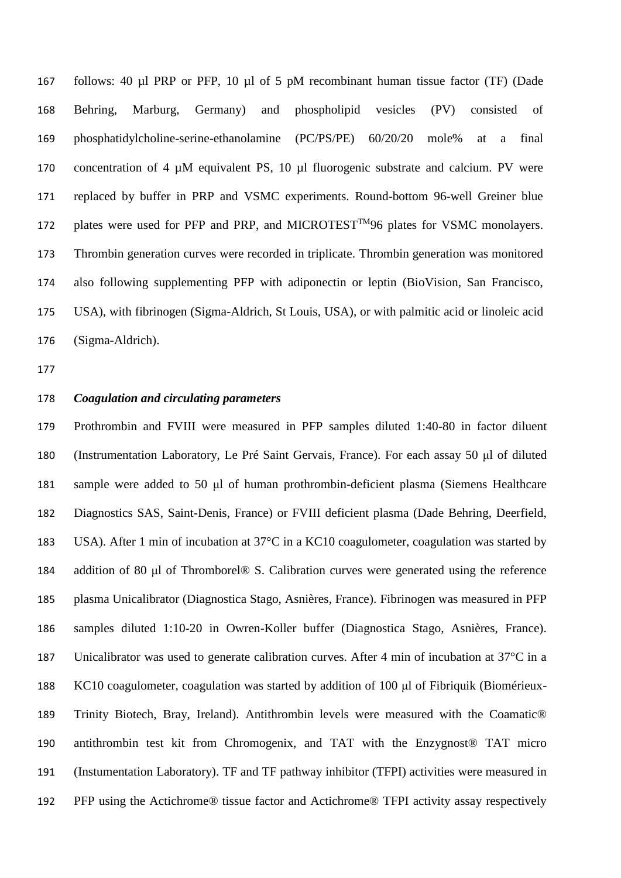follows: 40 µl PRP or PFP, 10 µl of 5 pM recombinant human tissue factor (TF) (Dade Behring, Marburg, Germany) and phospholipid vesicles (PV) consisted of phosphatidylcholine-serine-ethanolamine (PC/PS/PE) 60/20/20 mole% at a final concentration of 4 µM equivalent PS, 10 µl fluorogenic substrate and calcium. PV were replaced by buffer in PRP and VSMC experiments. Round-bottom 96-well Greiner blue 172 plates were used for PFP and PRP, and MICROTEST<sup>TM</sup>96 plates for VSMC monolayers. Thrombin generation curves were recorded in triplicate. Thrombin generation was monitored also following supplementing PFP with adiponectin or leptin (BioVision, San Francisco, USA), with fibrinogen (Sigma-Aldrich, St Louis, USA), or with palmitic acid or linoleic acid (Sigma-Aldrich).

#### *Coagulation and circulating parameters*

 Prothrombin and FVIII were measured in PFP samples diluted 1:40-80 in factor diluent (Instrumentation Laboratory, Le Pré Saint Gervais, France). For each assay 50 μl of diluted sample were added to 50 μl of human prothrombin-deficient plasma (Siemens Healthcare Diagnostics SAS, Saint-Denis, France) or FVIII deficient plasma (Dade Behring, Deerfield, USA). After 1 min of incubation at 37°C in a KC10 coagulometer, coagulation was started by addition of 80 μl of Thromborel® S. Calibration curves were generated using the reference plasma Unicalibrator (Diagnostica Stago, Asnières, France). Fibrinogen was measured in PFP samples diluted 1:10-20 in Owren-Koller buffer (Diagnostica Stago, Asnières, France). 187 Unicalibrator was used to generate calibration curves. After 4 min of incubation at 37°C in a KC10 coagulometer, coagulation was started by addition of 100 μl of Fibriquik (Biomérieux- Trinity Biotech, Bray, Ireland). Antithrombin levels were measured with the Coamatic® antithrombin test kit from Chromogenix, and TAT with the Enzygnost® TAT micro (Instumentation Laboratory). TF and TF pathway inhibitor (TFPI) activities were measured in PFP using the Actichrome® tissue factor and Actichrome® TFPI activity assay respectively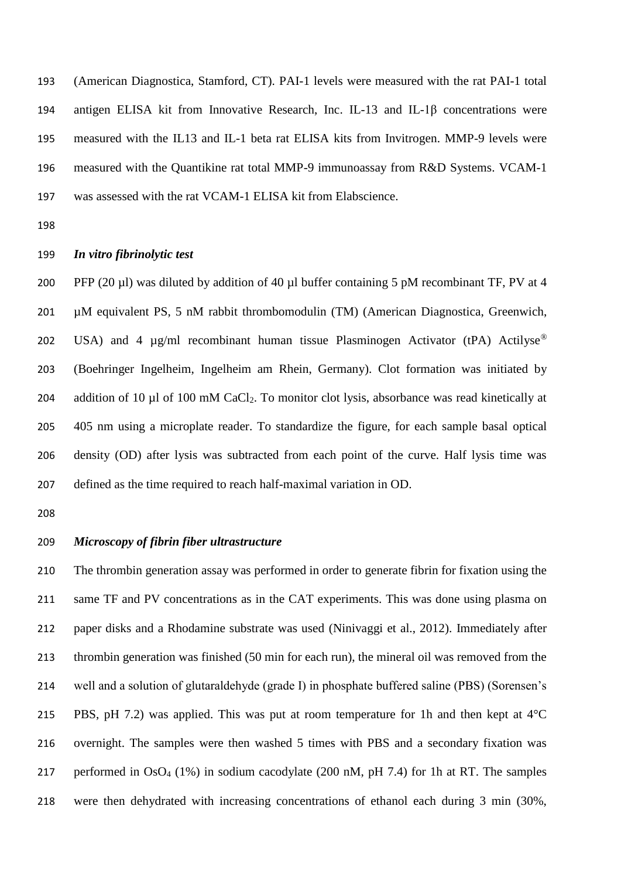(American Diagnostica, Stamford, CT). PAI-1 levels were measured with the rat PAI-1 total antigen ELISA kit from Innovative Research, Inc. IL-13 and IL-1β concentrations were measured with the IL13 and IL-1 beta rat ELISA kits from Invitrogen. MMP-9 levels were measured with the Quantikine rat total MMP-9 immunoassay from R&D Systems. VCAM-1 was assessed with the rat VCAM-1 ELISA kit from Elabscience.

#### *In vitro fibrinolytic test*

 PFP (20 µl) was diluted by addition of 40 µl buffer containing 5 pM recombinant TF, PV at 4 µM equivalent PS, 5 nM rabbit thrombomodulin (TM) (American Diagnostica, Greenwich, 202 USA) and 4  $\mu$ g/ml recombinant human tissue Plasminogen Activator (tPA) Actilvse<sup>®</sup> (Boehringer Ingelheim, Ingelheim am Rhein, Germany). Clot formation was initiated by 204 addition of 10 µl of 100 mM CaCl<sub>2</sub>. To monitor clot lysis, absorbance was read kinetically at 405 nm using a microplate reader. To standardize the figure, for each sample basal optical density (OD) after lysis was subtracted from each point of the curve. Half lysis time was defined as the time required to reach half-maximal variation in OD.

# *Microscopy of fibrin fiber ultrastructure*

 The thrombin generation assay was performed in order to generate fibrin for fixation using the same TF and PV concentrations as in the CAT experiments. This was done using plasma on paper disks and a Rhodamine substrate was used (Ninivaggi et al., 2012). Immediately after thrombin generation was finished (50 min for each run), the mineral oil was removed from the well and a solution of glutaraldehyde (grade I) in phosphate buffered saline (PBS) (Sorensen's 215 PBS, pH 7.2) was applied. This was put at room temperature for 1h and then kept at  $4^{\circ}$ C overnight. The samples were then washed 5 times with PBS and a secondary fixation was 217 performed in OsO<sub>4</sub> (1%) in sodium cacodylate (200 nM, pH 7.4) for 1h at RT. The samples were then dehydrated with increasing concentrations of ethanol each during 3 min (30%,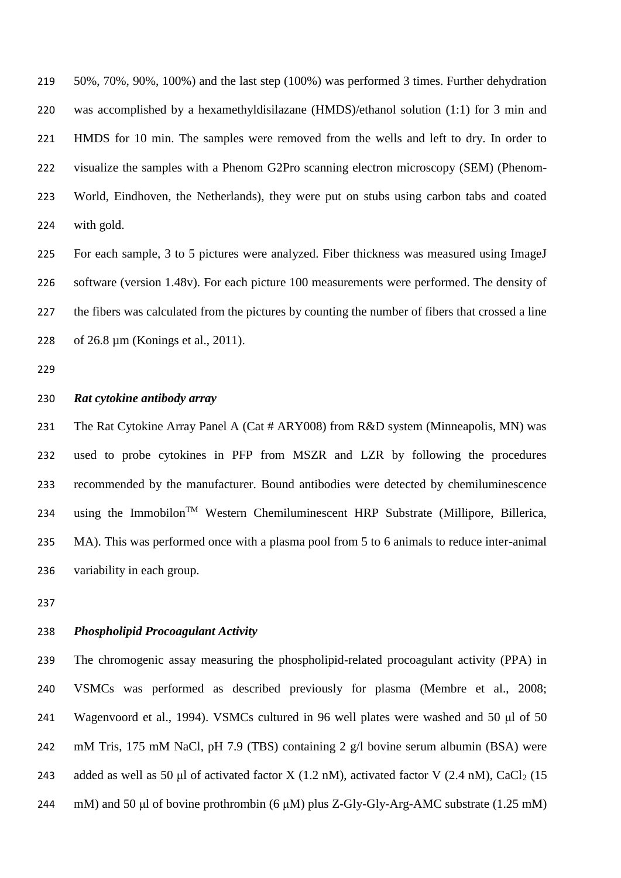50%, 70%, 90%, 100%) and the last step (100%) was performed 3 times. Further dehydration was accomplished by a hexamethyldisilazane (HMDS)/ethanol solution (1:1) for 3 min and HMDS for 10 min. The samples were removed from the wells and left to dry. In order to visualize the samples with a Phenom G2Pro scanning electron microscopy (SEM) (Phenom- World, Eindhoven, the Netherlands), they were put on stubs using carbon tabs and coated with gold.

 For each sample, 3 to 5 pictures were analyzed. Fiber thickness was measured using ImageJ software (version 1.48v). For each picture 100 measurements were performed. The density of 227 the fibers was calculated from the pictures by counting the number of fibers that crossed a line of 26.8 µm (Konings et al., 2011).

## *Rat cytokine antibody array*

231 The Rat Cytokine Array Panel A (Cat # ARY008) from R&D system (Minneapolis, MN) was used to probe cytokines in PFP from MSZR and LZR by following the procedures recommended by the manufacturer. Bound antibodies were detected by chemiluminescence 234 using the Immobilon<sup>TM</sup> Western Chemiluminescent HRP Substrate (Millipore, Billerica, MA). This was performed once with a plasma pool from 5 to 6 animals to reduce inter-animal variability in each group.

## *Phospholipid Procoagulant Activity*

 The chromogenic assay measuring the phospholipid-related procoagulant activity (PPA) in VSMCs was performed as described previously for plasma (Membre et al., 2008; Wagenvoord et al., 1994). VSMCs cultured in 96 well plates were washed and 50 μl of 50 mM Tris, 175 mM NaCl, pH 7.9 (TBS) containing 2 g/l bovine serum albumin (BSA) were 243 added as well as 50 µl of activated factor X (1.2 nM), activated factor V (2.4 nM), CaCl<sub>2</sub> (15 mM) and 50 μl of bovine prothrombin (6 μM) plus Z-Gly-Gly-Arg-AMC substrate (1.25 mM)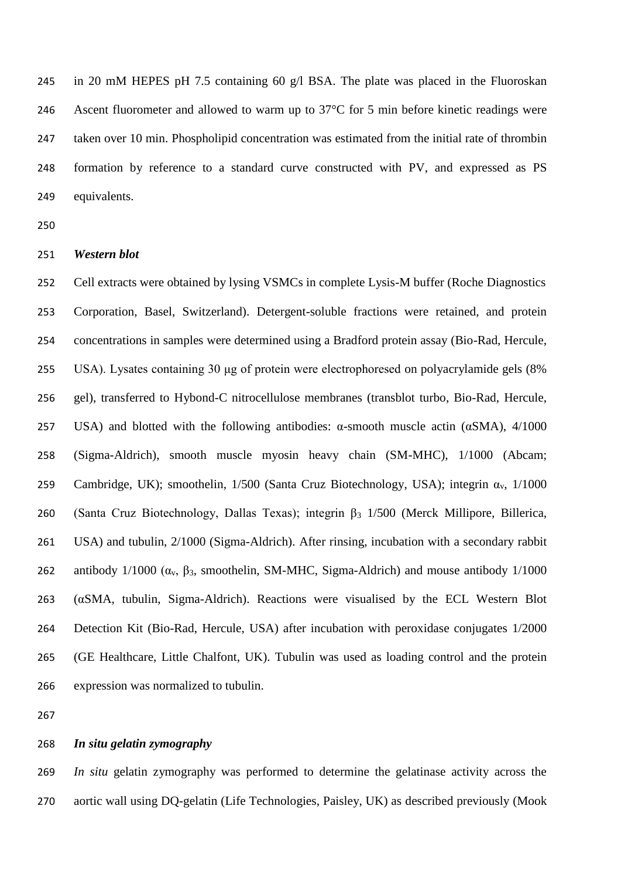in 20 mM HEPES pH 7.5 containing 60 g/l BSA. The plate was placed in the Fluoroskan 246 Ascent fluorometer and allowed to warm up to 37<sup>o</sup>C for 5 min before kinetic readings were taken over 10 min. Phospholipid concentration was estimated from the initial rate of thrombin formation by reference to a standard curve constructed with PV, and expressed as PS equivalents.

#### *Western blot*

 Cell extracts were obtained by lysing VSMCs in complete Lysis-M buffer (Roche Diagnostics Corporation, Basel, Switzerland). Detergent-soluble fractions were retained, and protein concentrations in samples were determined using a Bradford protein assay (Bio-Rad, Hercule, USA). Lysates containing 30 μg of protein were electrophoresed on polyacrylamide gels (8% gel), transferred to Hybond-C nitrocellulose membranes (transblot turbo, Bio-Rad, Hercule, 257 USA) and blotted with the following antibodies:  $\alpha$ -smooth muscle actin ( $\alpha$ SMA), 4/1000 (Sigma-Aldrich), smooth muscle myosin heavy chain (SM-MHC), 1/1000 (Abcam; 259 Cambridge, UK); smoothelin,  $1/500$  (Santa Cruz Biotechnology, USA); integrin  $\alpha_v$ ,  $1/1000$  (Santa Cruz Biotechnology, Dallas Texas); integrin β<sup>3</sup> 1/500 (Merck Millipore, Billerica, USA) and tubulin, 2/1000 (Sigma-Aldrich). After rinsing, incubation with a secondary rabbit 262 antibody  $1/1000$  ( $\alpha_v$ ,  $\beta_3$ , smoothelin, SM-MHC, Sigma-Aldrich) and mouse antibody  $1/1000$  (αSMA, tubulin, Sigma-Aldrich). Reactions were visualised by the ECL Western Blot Detection Kit (Bio-Rad, Hercule, USA) after incubation with peroxidase conjugates 1/2000 (GE Healthcare, Little Chalfont, UK). Tubulin was used as loading control and the protein expression was normalized to tubulin.

#### *In situ gelatin zymography*

 *In situ* gelatin zymography was performed to determine the gelatinase activity across the aortic wall using DQ-gelatin (Life Technologies, Paisley, UK) as described previously (Mook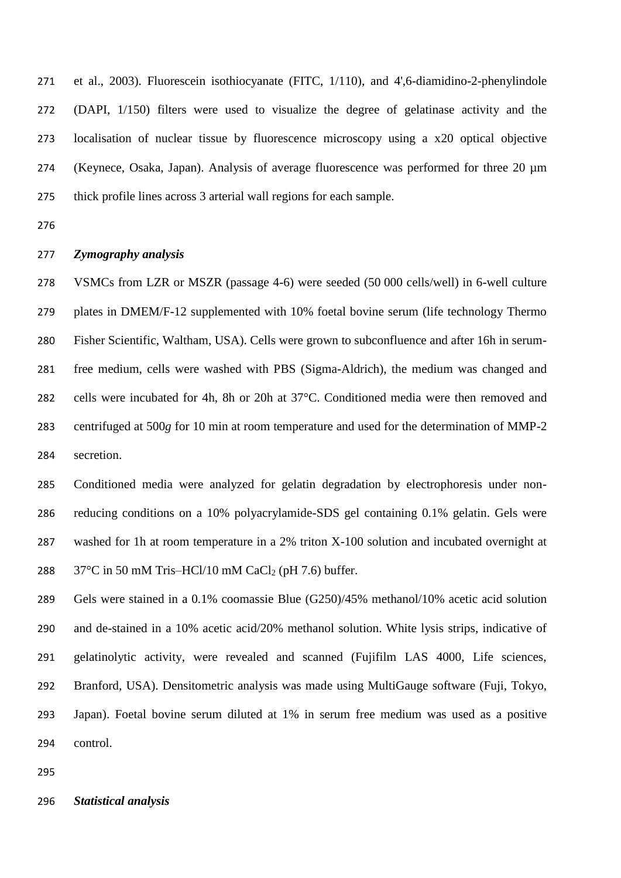et al., 2003). Fluorescein isothiocyanate (FITC, 1/110), and 4',6-diamidino-2-phenylindole (DAPI, 1/150) filters were used to visualize the degree of gelatinase activity and the localisation of nuclear tissue by fluorescence microscopy using a x20 optical objective (Keynece, Osaka, Japan). Analysis of average fluorescence was performed for three 20 µm thick profile lines across 3 arterial wall regions for each sample.

#### *Zymography analysis*

 VSMCs from LZR or MSZR (passage 4-6) were seeded (50 000 cells/well) in 6-well culture plates in DMEM/F-12 supplemented with 10% foetal bovine serum (life technology Thermo Fisher Scientific, Waltham, USA). Cells were grown to subconfluence and after 16h in serum- free medium, cells were washed with PBS (Sigma-Aldrich), the medium was changed and cells were incubated for 4h, 8h or 20h at 37°C. Conditioned media were then removed and centrifuged at 500*g* for 10 min at room temperature and used for the determination of MMP-2 secretion.

 Conditioned media were analyzed for gelatin degradation by electrophoresis under non- reducing conditions on a 10% polyacrylamide-SDS gel containing 0.1% gelatin. Gels were washed for 1h at room temperature in a 2% triton X-100 solution and incubated overnight at  $37^{\circ}$ C in 50 mM Tris–HCl/10 mM CaCl<sub>2</sub> (pH 7.6) buffer.

 Gels were stained in a 0.1% coomassie Blue (G250)/45% methanol/10% acetic acid solution and de-stained in a 10% acetic acid/20% methanol solution. White lysis strips, indicative of gelatinolytic activity, were revealed and scanned (Fujifilm LAS 4000, Life sciences, Branford, USA). Densitometric analysis was made using MultiGauge software (Fuji, Tokyo, Japan). Foetal bovine serum diluted at 1% in serum free medium was used as a positive control.

*Statistical analysis*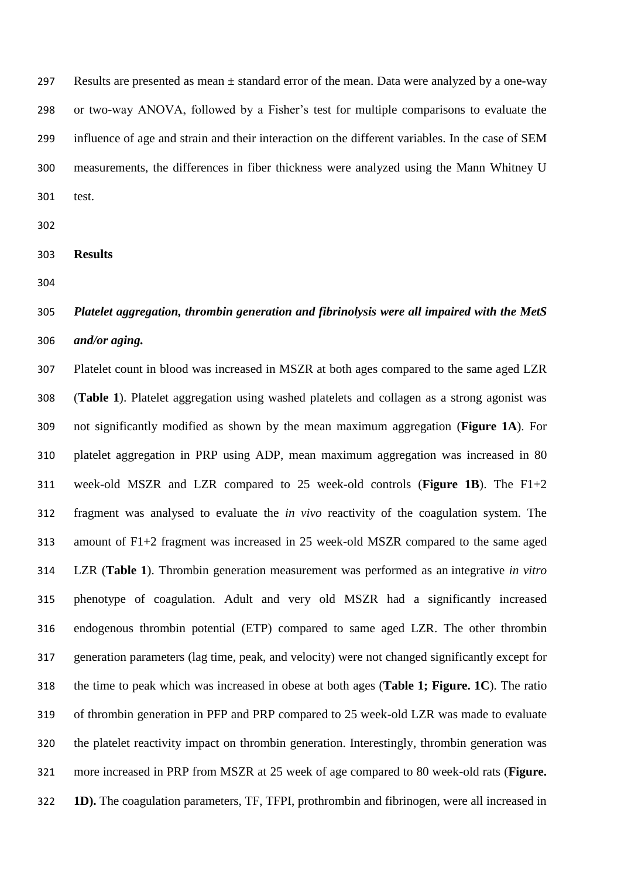297 Results are presented as mean  $\pm$  standard error of the mean. Data were analyzed by a one-way or two-way ANOVA, followed by a Fisher's test for multiple comparisons to evaluate the influence of age and strain and their interaction on the different variables. In the case of SEM measurements, the differences in fiber thickness were analyzed using the Mann Whitney U test.

- 
- **Results**
- 

# *Platelet aggregation, thrombin generation and fibrinolysis were all impaired with the MetS and/or aging.*

 Platelet count in blood was increased in MSZR at both ages compared to the same aged LZR (**Table 1**). Platelet aggregation using washed platelets and collagen as a strong agonist was not significantly modified as shown by the mean maximum aggregation (**Figure 1A**). For platelet aggregation in PRP using ADP, mean maximum aggregation was increased in 80 week-old MSZR and LZR compared to 25 week-old controls (**Figure 1B**). The F1+2 fragment was analysed to evaluate the *in vivo* reactivity of the coagulation system. The amount of F1+2 fragment was increased in 25 week-old MSZR compared to the same aged LZR (**Table 1**). Thrombin generation measurement was performed as an integrative *in vitro* phenotype of coagulation. Adult and very old MSZR had a significantly increased endogenous thrombin potential (ETP) compared to same aged LZR. The other thrombin generation parameters (lag time, peak, and velocity) were not changed significantly except for the time to peak which was increased in obese at both ages (**Table 1; Figure. 1C**). The ratio of thrombin generation in PFP and PRP compared to 25 week-old LZR was made to evaluate the platelet reactivity impact on thrombin generation. Interestingly, thrombin generation was more increased in PRP from MSZR at 25 week of age compared to 80 week-old rats (**Figure. 1D).** The coagulation parameters, TF, TFPI, prothrombin and fibrinogen, were all increased in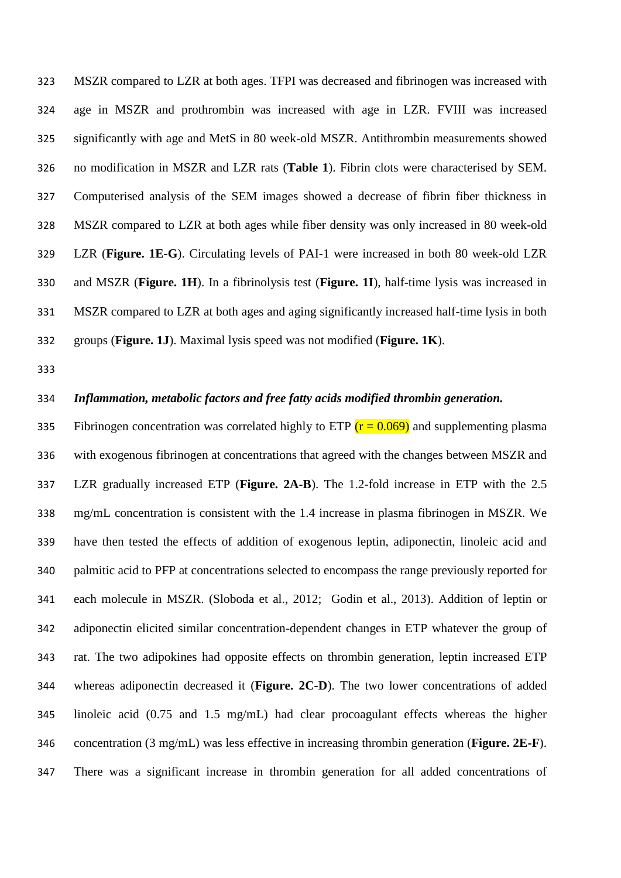MSZR compared to LZR at both ages. TFPI was decreased and fibrinogen was increased with age in MSZR and prothrombin was increased with age in LZR. FVIII was increased significantly with age and MetS in 80 week-old MSZR. Antithrombin measurements showed no modification in MSZR and LZR rats (**Table 1**). Fibrin clots were characterised by SEM. Computerised analysis of the SEM images showed a decrease of fibrin fiber thickness in MSZR compared to LZR at both ages while fiber density was only increased in 80 week-old LZR (**Figure. 1E-G**). Circulating levels of PAI-1 were increased in both 80 week-old LZR and MSZR (**Figure. 1H**). In a fibrinolysis test (**Figure. 1I**), half-time lysis was increased in MSZR compared to LZR at both ages and aging significantly increased half-time lysis in both groups (**Figure. 1J**). Maximal lysis speed was not modified (**Figure. 1K**).

## *Inflammation, metabolic factors and free fatty acids modified thrombin generation.*

335 Fibrinogen concentration was correlated highly to ETP  $(r = 0.069)$  and supplementing plasma with exogenous fibrinogen at concentrations that agreed with the changes between MSZR and LZR gradually increased ETP (**Figure. 2A-B**). The 1.2-fold increase in ETP with the 2.5 mg/mL concentration is consistent with the 1.4 increase in plasma fibrinogen in MSZR. We have then tested the effects of addition of exogenous leptin, adiponectin, linoleic acid and palmitic acid to PFP at concentrations selected to encompass the range previously reported for each molecule in MSZR. (Sloboda et al., 2012; Godin et al., 2013). Addition of leptin or adiponectin elicited similar concentration-dependent changes in ETP whatever the group of rat. The two adipokines had opposite effects on thrombin generation, leptin increased ETP whereas adiponectin decreased it (**Figure. 2C-D**). The two lower concentrations of added linoleic acid (0.75 and 1.5 mg/mL) had clear procoagulant effects whereas the higher concentration (3 mg/mL) was less effective in increasing thrombin generation (**Figure. 2E-F**). There was a significant increase in thrombin generation for all added concentrations of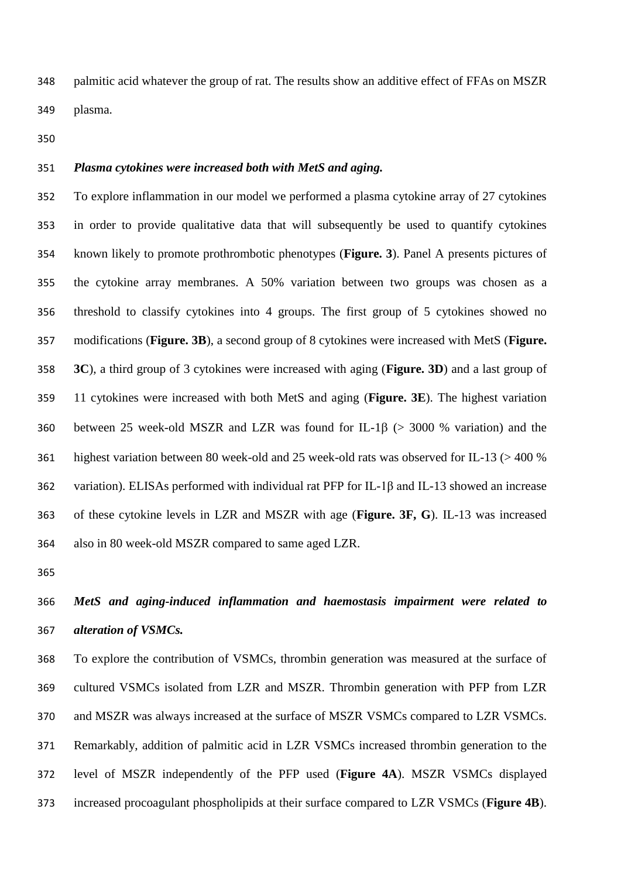palmitic acid whatever the group of rat. The results show an additive effect of FFAs on MSZR plasma.

# *Plasma cytokines were increased both with MetS and aging.*

 To explore inflammation in our model we performed a plasma cytokine array of 27 cytokines in order to provide qualitative data that will subsequently be used to quantify cytokines known likely to promote prothrombotic phenotypes (**Figure. 3**). Panel A presents pictures of the cytokine array membranes. A 50% variation between two groups was chosen as a threshold to classify cytokines into 4 groups. The first group of 5 cytokines showed no modifications (**Figure. 3B**), a second group of 8 cytokines were increased with MetS (**Figure. 3C**), a third group of 3 cytokines were increased with aging (**Figure. 3D**) and a last group of 11 cytokines were increased with both MetS and aging (**Figure. 3E**). The highest variation 360 between 25 week-old MSZR and LZR was found for IL-1 $\beta$  (> 3000 % variation) and the highest variation between 80 week-old and 25 week-old rats was observed for IL-13 (> 400 % variation). ELISAs performed with individual rat PFP for IL-1β and IL-13 showed an increase of these cytokine levels in LZR and MSZR with age (**Figure. 3F, G**). IL-13 was increased also in 80 week-old MSZR compared to same aged LZR.

# *MetS and aging-induced inflammation and haemostasis impairment were related to alteration of VSMCs.*

 To explore the contribution of VSMCs, thrombin generation was measured at the surface of cultured VSMCs isolated from LZR and MSZR. Thrombin generation with PFP from LZR and MSZR was always increased at the surface of MSZR VSMCs compared to LZR VSMCs. Remarkably, addition of palmitic acid in LZR VSMCs increased thrombin generation to the level of MSZR independently of the PFP used (**Figure 4A**). MSZR VSMCs displayed increased procoagulant phospholipids at their surface compared to LZR VSMCs (**Figure 4B**).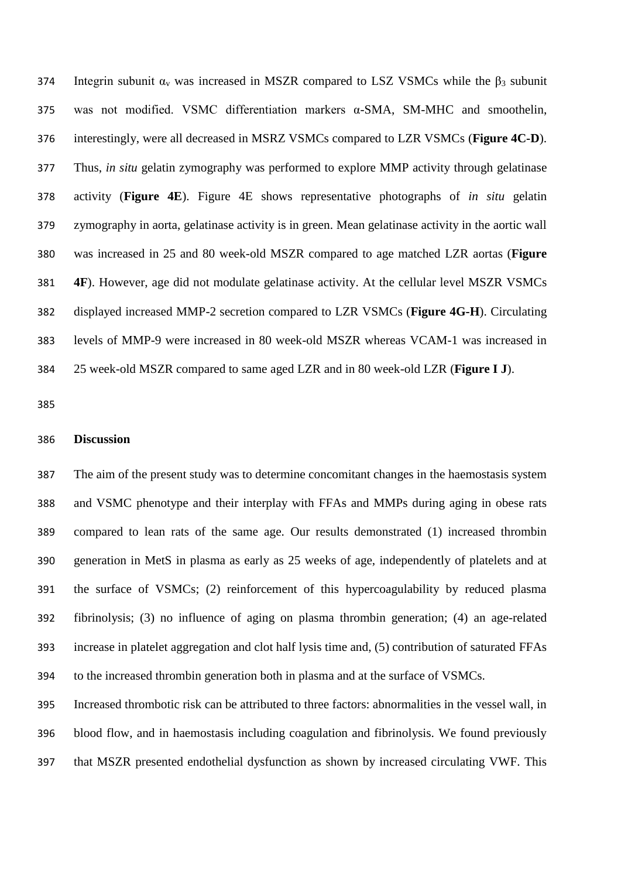374 Integrin subunit  $\alpha_v$  was increased in MSZR compared to LSZ VSMCs while the  $\beta_3$  subunit was not modified. VSMC differentiation markers α-SMA, SM-MHC and smoothelin, interestingly, were all decreased in MSRZ VSMCs compared to LZR VSMCs (**Figure 4C-D**). Thus, *in situ* gelatin zymography was performed to explore MMP activity through gelatinase activity (**Figure 4E**). Figure 4E shows representative photographs of *in situ* gelatin zymography in aorta, gelatinase activity is in green. Mean gelatinase activity in the aortic wall was increased in 25 and 80 week-old MSZR compared to age matched LZR aortas (**Figure 4F**). However, age did not modulate gelatinase activity. At the cellular level MSZR VSMCs displayed increased MMP-2 secretion compared to LZR VSMCs (**Figure 4G-H**). Circulating levels of MMP-9 were increased in 80 week-old MSZR whereas VCAM-1 was increased in 25 week-old MSZR compared to same aged LZR and in 80 week-old LZR (**Figure I J**).

### **Discussion**

 The aim of the present study was to determine concomitant changes in the haemostasis system and VSMC phenotype and their interplay with FFAs and MMPs during aging in obese rats compared to lean rats of the same age. Our results demonstrated (1) increased thrombin generation in MetS in plasma as early as 25 weeks of age, independently of platelets and at the surface of VSMCs; (2) reinforcement of this hypercoagulability by reduced plasma fibrinolysis; (3) no influence of aging on plasma thrombin generation; (4) an age-related increase in platelet aggregation and clot half lysis time and, (5) contribution of saturated FFAs to the increased thrombin generation both in plasma and at the surface of VSMCs.

 Increased thrombotic risk can be attributed to three factors: abnormalities in the vessel wall, in blood flow, and in haemostasis including coagulation and fibrinolysis. We found previously that MSZR presented endothelial dysfunction as shown by increased circulating VWF. This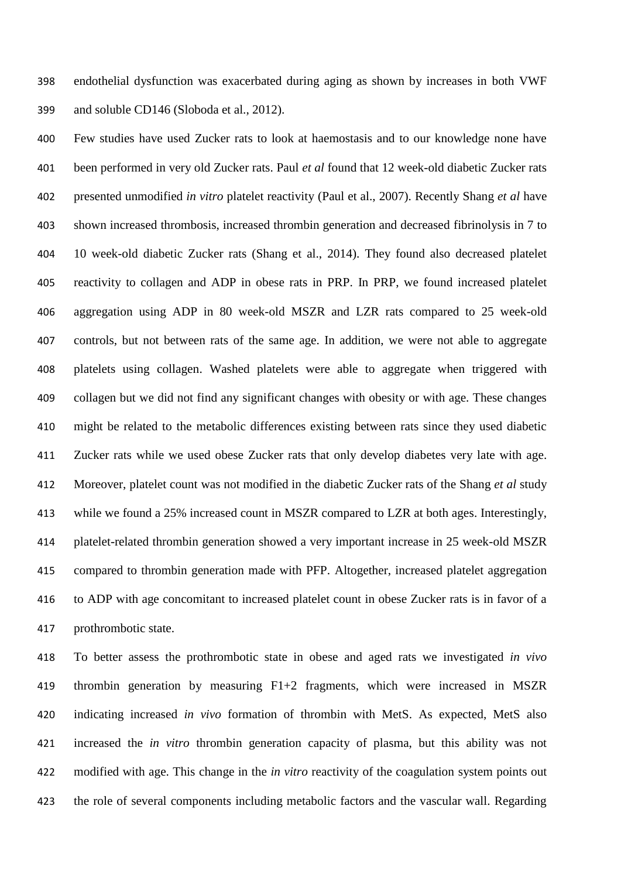endothelial dysfunction was exacerbated during aging as shown by increases in both VWF and soluble CD146 (Sloboda et al., 2012).

 Few studies have used Zucker rats to look at haemostasis and to our knowledge none have been performed in very old Zucker rats. Paul *et al* found that 12 week-old diabetic Zucker rats presented unmodified *in vitro* platelet reactivity (Paul et al., 2007). Recently Shang *et al* have shown increased thrombosis, increased thrombin generation and decreased fibrinolysis in 7 to 10 week-old diabetic Zucker rats (Shang et al., 2014). They found also decreased platelet reactivity to collagen and ADP in obese rats in PRP. In PRP, we found increased platelet aggregation using ADP in 80 week-old MSZR and LZR rats compared to 25 week-old controls, but not between rats of the same age. In addition, we were not able to aggregate platelets using collagen. Washed platelets were able to aggregate when triggered with collagen but we did not find any significant changes with obesity or with age. These changes might be related to the metabolic differences existing between rats since they used diabetic Zucker rats while we used obese Zucker rats that only develop diabetes very late with age. Moreover, platelet count was not modified in the diabetic Zucker rats of the Shang *et al* study while we found a 25% increased count in MSZR compared to LZR at both ages. Interestingly, platelet-related thrombin generation showed a very important increase in 25 week-old MSZR compared to thrombin generation made with PFP. Altogether, increased platelet aggregation to ADP with age concomitant to increased platelet count in obese Zucker rats is in favor of a prothrombotic state.

 To better assess the prothrombotic state in obese and aged rats we investigated *in vivo* thrombin generation by measuring F1+2 fragments, which were increased in MSZR indicating increased *in vivo* formation of thrombin with MetS. As expected, MetS also increased the *in vitro* thrombin generation capacity of plasma, but this ability was not modified with age. This change in the *in vitro* reactivity of the coagulation system points out the role of several components including metabolic factors and the vascular wall. Regarding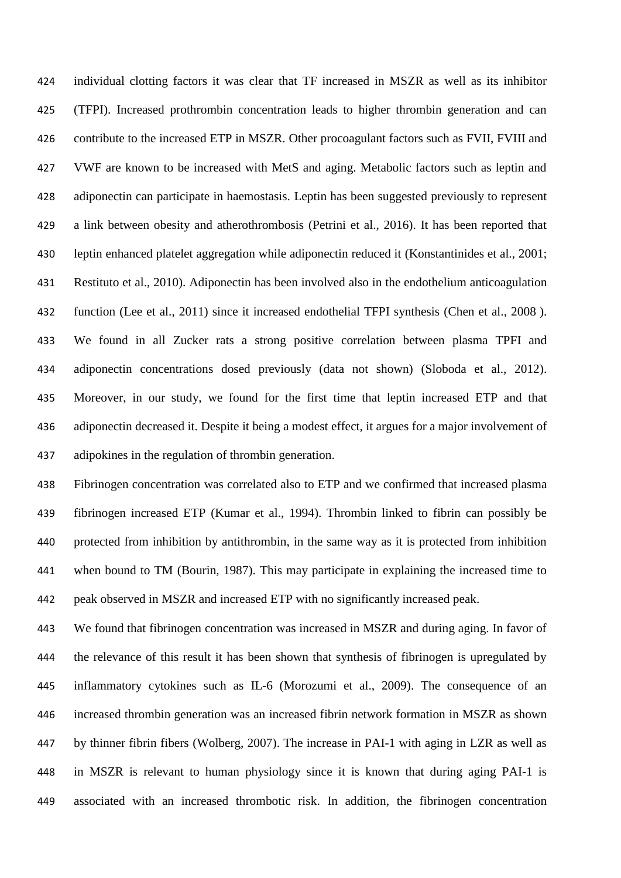individual clotting factors it was clear that TF increased in MSZR as well as its inhibitor (TFPI). Increased prothrombin concentration leads to higher thrombin generation and can contribute to the increased ETP in MSZR. Other procoagulant factors such as FVII, FVIII and VWF are known to be increased with MetS and aging. Metabolic factors such as leptin and adiponectin can participate in haemostasis. Leptin has been suggested previously to represent a link between obesity and atherothrombosis (Petrini et al., 2016). It has been reported that leptin enhanced platelet aggregation while adiponectin reduced it (Konstantinides et al., 2001; Restituto et al., 2010). Adiponectin has been involved also in the endothelium anticoagulation function (Lee et al., 2011) since it increased endothelial TFPI synthesis (Chen et al., 2008 ). We found in all Zucker rats a strong positive correlation between plasma TPFI and adiponectin concentrations dosed previously (data not shown) (Sloboda et al., 2012). Moreover, in our study, we found for the first time that leptin increased ETP and that adiponectin decreased it. Despite it being a modest effect, it argues for a major involvement of adipokines in the regulation of thrombin generation.

 Fibrinogen concentration was correlated also to ETP and we confirmed that increased plasma fibrinogen increased ETP (Kumar et al., 1994). Thrombin linked to fibrin can possibly be protected from inhibition by antithrombin, in the same way as it is protected from inhibition when bound to TM (Bourin, 1987). This may participate in explaining the increased time to peak observed in MSZR and increased ETP with no significantly increased peak.

 We found that fibrinogen concentration was increased in MSZR and during aging. In favor of the relevance of this result it has been shown that synthesis of fibrinogen is upregulated by inflammatory cytokines such as IL-6 (Morozumi et al., 2009). The consequence of an increased thrombin generation was an increased fibrin network formation in MSZR as shown by thinner fibrin fibers (Wolberg, 2007). The increase in PAI-1 with aging in LZR as well as in MSZR is relevant to human physiology since it is known that during aging PAI-1 is associated with an increased thrombotic risk. In addition, the fibrinogen concentration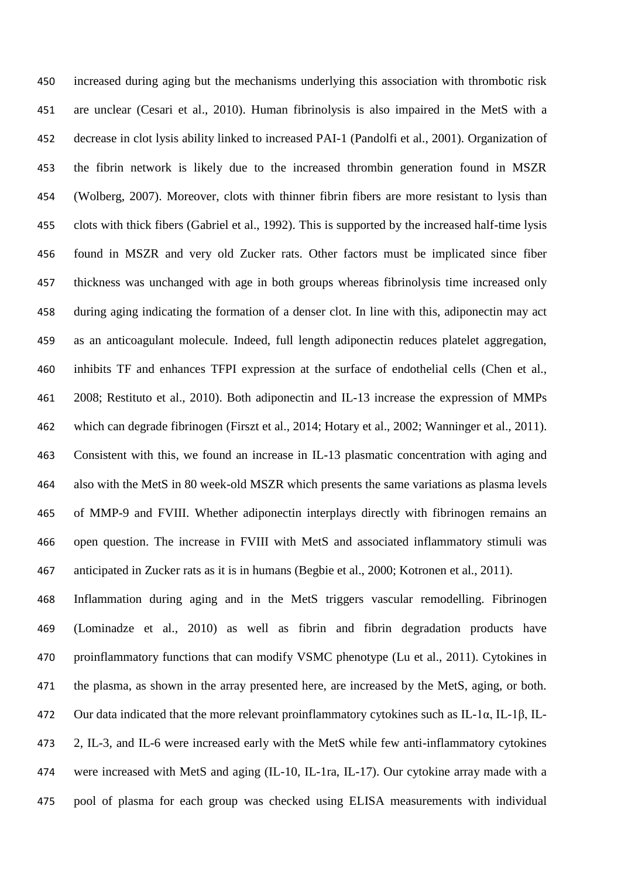increased during aging but the mechanisms underlying this association with thrombotic risk are unclear (Cesari et al., 2010). Human fibrinolysis is also impaired in the MetS with a decrease in clot lysis ability linked to increased PAI-1 (Pandolfi et al., 2001). Organization of the fibrin network is likely due to the increased thrombin generation found in MSZR (Wolberg, 2007). Moreover, clots with thinner fibrin fibers are more resistant to lysis than clots with thick fibers (Gabriel et al., 1992). This is supported by the increased half-time lysis found in MSZR and very old Zucker rats. Other factors must be implicated since fiber thickness was unchanged with age in both groups whereas fibrinolysis time increased only during aging indicating the formation of a denser clot. In line with this, adiponectin may act as an anticoagulant molecule. Indeed, full length adiponectin reduces platelet aggregation, inhibits TF and enhances TFPI expression at the surface of endothelial cells (Chen et al., 2008; Restituto et al., 2010). Both adiponectin and IL-13 increase the expression of MMPs which can degrade fibrinogen (Firszt et al., 2014; Hotary et al., 2002; Wanninger et al., 2011). Consistent with this, we found an increase in IL-13 plasmatic concentration with aging and also with the MetS in 80 week-old MSZR which presents the same variations as plasma levels of MMP-9 and FVIII. Whether adiponectin interplays directly with fibrinogen remains an open question. The increase in FVIII with MetS and associated inflammatory stimuli was anticipated in Zucker rats as it is in humans (Begbie et al., 2000; Kotronen et al., 2011). Inflammation during aging and in the MetS triggers vascular remodelling. Fibrinogen (Lominadze et al., 2010) as well as fibrin and fibrin degradation products have proinflammatory functions that can modify VSMC phenotype (Lu et al., 2011). Cytokines in the plasma, as shown in the array presented here, are increased by the MetS, aging, or both. Our data indicated that the more relevant proinflammatory cytokines such as IL-1α, IL-1β, IL- 2, IL-3, and IL-6 were increased early with the MetS while few anti-inflammatory cytokines were increased with MetS and aging (IL-10, IL-1ra, IL-17). Our cytokine array made with a pool of plasma for each group was checked using ELISA measurements with individual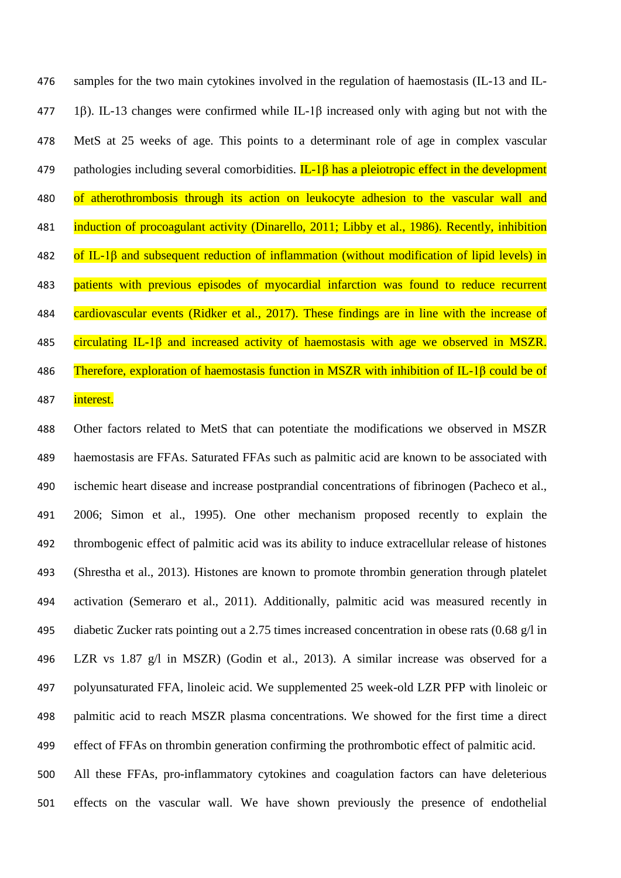samples for the two main cytokines involved in the regulation of haemostasis (IL-13 and IL- 1). IL-13 changes were confirmed while IL-1β increased only with aging but not with the MetS at 25 weeks of age. This points to a determinant role of age in complex vascular 479 pathologies including several comorbidities.  $IL-1\beta$  has a pleiotropic effect in the development 480 of atherothrombosis through its action on leukocyte adhesion to the vascular wall and induction of procoagulant activity (Dinarello, 2011; Libby et al., 1986). Recently, inhibition 482 of IL-1 $\beta$  and subsequent reduction of inflammation (without modification of lipid levels) in 483 patients with previous episodes of myocardial infarction was found to reduce recurrent 484 cardiovascular events (Ridker et al., 2017). These findings are in line with the increase of circulating IL-1β and increased activity of haemostasis with age we observed in MSZR. Therefore, exploration of haemostasis function in MSZR with inhibition of IL-1β could be of 487 interest.

 Other factors related to MetS that can potentiate the modifications we observed in MSZR haemostasis are FFAs. Saturated FFAs such as palmitic acid are known to be associated with ischemic heart disease and increase postprandial concentrations of fibrinogen (Pacheco et al., 2006; Simon et al., 1995). One other mechanism proposed recently to explain the thrombogenic effect of palmitic acid was its ability to induce extracellular release of histones (Shrestha et al., 2013). Histones are known to promote thrombin generation through platelet activation (Semeraro et al., 2011). Additionally, palmitic acid was measured recently in diabetic Zucker rats pointing out a 2.75 times increased concentration in obese rats (0.68 g/l in LZR vs 1.87 g/l in MSZR) (Godin et al., 2013). A similar increase was observed for a polyunsaturated FFA, linoleic acid. We supplemented 25 week-old LZR PFP with linoleic or palmitic acid to reach MSZR plasma concentrations. We showed for the first time a direct effect of FFAs on thrombin generation confirming the prothrombotic effect of palmitic acid. All these FFAs, pro-inflammatory cytokines and coagulation factors can have deleterious

effects on the vascular wall. We have shown previously the presence of endothelial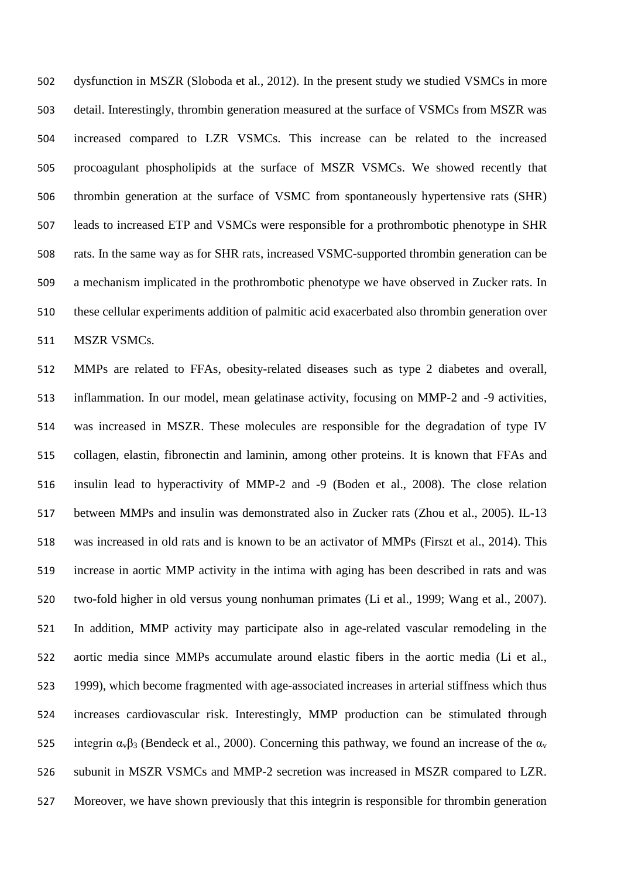dysfunction in MSZR (Sloboda et al., 2012). In the present study we studied VSMCs in more detail. Interestingly, thrombin generation measured at the surface of VSMCs from MSZR was increased compared to LZR VSMCs. This increase can be related to the increased procoagulant phospholipids at the surface of MSZR VSMCs. We showed recently that thrombin generation at the surface of VSMC from spontaneously hypertensive rats (SHR) leads to increased ETP and VSMCs were responsible for a prothrombotic phenotype in SHR rats. In the same way as for SHR rats, increased VSMC-supported thrombin generation can be a mechanism implicated in the prothrombotic phenotype we have observed in Zucker rats. In these cellular experiments addition of palmitic acid exacerbated also thrombin generation over MSZR VSMCs.

 MMPs are related to FFAs, obesity-related diseases such as type 2 diabetes and overall, inflammation. In our model, mean gelatinase activity, focusing on MMP-2 and -9 activities, was increased in MSZR. These molecules are responsible for the degradation of type IV collagen, elastin, fibronectin and laminin, among other proteins. It is known that FFAs and insulin lead to hyperactivity of MMP-2 and -9 (Boden et al., 2008). The close relation between MMPs and insulin was demonstrated also in Zucker rats (Zhou et al., 2005). IL-13 was increased in old rats and is known to be an activator of MMPs (Firszt et al., 2014). This increase in aortic MMP activity in the intima with aging has been described in rats and was two-fold higher in old versus young nonhuman primates (Li et al., 1999; Wang et al., 2007). In addition, MMP activity may participate also in age-related vascular remodeling in the aortic media since MMPs accumulate around elastic fibers in the aortic media (Li et al., 1999), which become fragmented with age-associated increases in arterial stiffness which thus increases cardiovascular risk. Interestingly, MMP production can be stimulated through 525 integrin  $\alpha_v\beta_3$  (Bendeck et al., 2000). Concerning this pathway, we found an increase of the  $\alpha_v$  subunit in MSZR VSMCs and MMP-2 secretion was increased in MSZR compared to LZR. Moreover, we have shown previously that this integrin is responsible for thrombin generation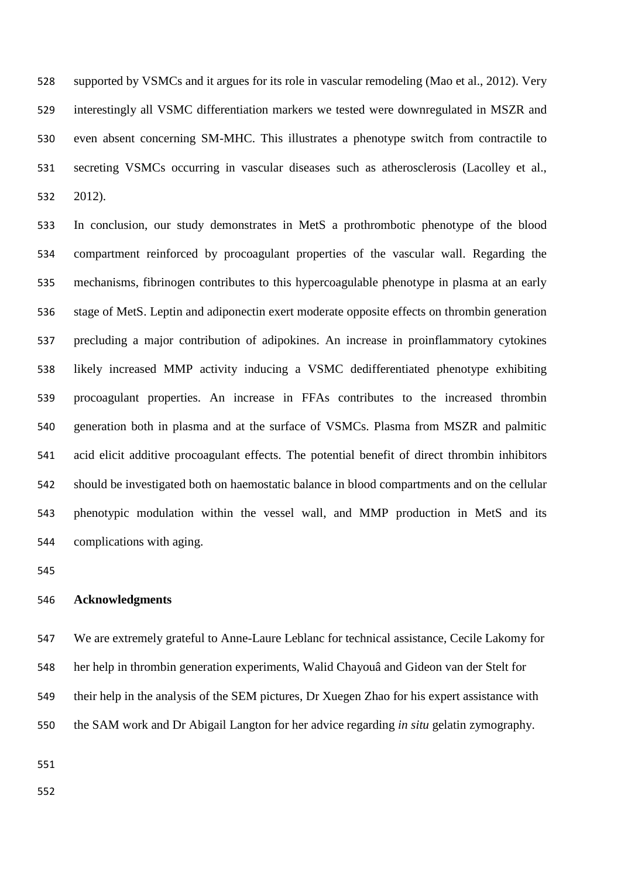supported by VSMCs and it argues for its role in vascular remodeling (Mao et al., 2012). Very interestingly all VSMC differentiation markers we tested were downregulated in MSZR and even absent concerning SM-MHC. This illustrates a phenotype switch from contractile to secreting VSMCs occurring in vascular diseases such as atherosclerosis (Lacolley et al., 2012).

 In conclusion, our study demonstrates in MetS a prothrombotic phenotype of the blood compartment reinforced by procoagulant properties of the vascular wall. Regarding the mechanisms, fibrinogen contributes to this hypercoagulable phenotype in plasma at an early stage of MetS. Leptin and adiponectin exert moderate opposite effects on thrombin generation precluding a major contribution of adipokines. An increase in proinflammatory cytokines likely increased MMP activity inducing a VSMC dedifferentiated phenotype exhibiting procoagulant properties. An increase in FFAs contributes to the increased thrombin generation both in plasma and at the surface of VSMCs. Plasma from MSZR and palmitic acid elicit additive procoagulant effects. The potential benefit of direct thrombin inhibitors should be investigated both on haemostatic balance in blood compartments and on the cellular phenotypic modulation within the vessel wall, and MMP production in MetS and its complications with aging.

## **Acknowledgments**

 We are extremely grateful to Anne-Laure Leblanc for technical assistance, Cecile Lakomy for her help in thrombin generation experiments, Walid Chayouâ and Gideon van der Stelt for their help in the analysis of the SEM pictures, Dr Xuegen Zhao for his expert assistance with the SAM work and Dr Abigail Langton for her advice regarding *in situ* gelatin zymography.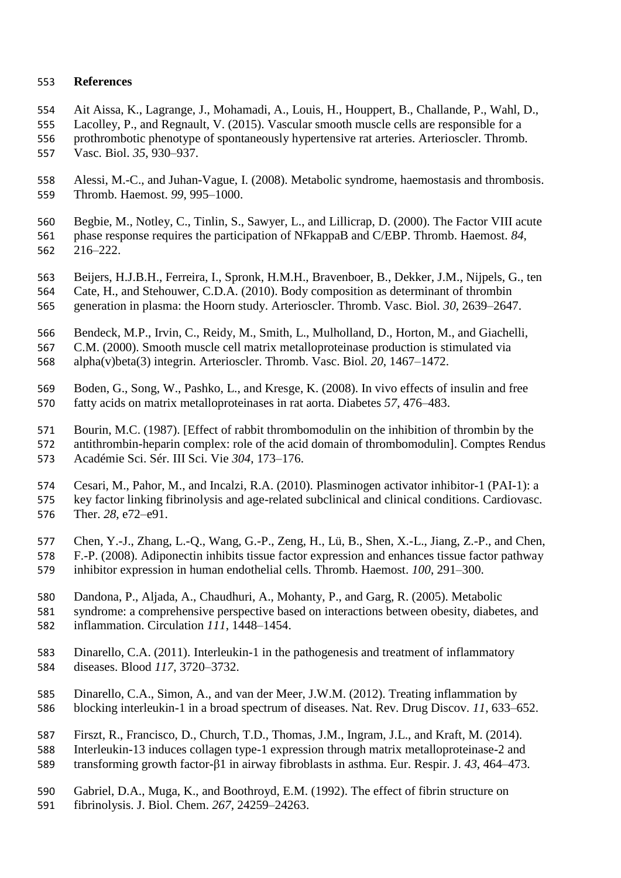## **References**

- Ait Aissa, K., Lagrange, J., Mohamadi, A., Louis, H., Houppert, B., Challande, P., Wahl, D.,
- Lacolley, P., and Regnault, V. (2015). Vascular smooth muscle cells are responsible for a prothrombotic phenotype of spontaneously hypertensive rat arteries. Arterioscler. Thromb. Vasc. Biol. *35*, 930–937.
- Alessi, M.-C., and Juhan-Vague, I. (2008). Metabolic syndrome, haemostasis and thrombosis. Thromb. Haemost. *99*, 995–1000.
- Begbie, M., Notley, C., Tinlin, S., Sawyer, L., and Lillicrap, D. (2000). The Factor VIII acute phase response requires the participation of NFkappaB and C/EBP. Thromb. Haemost. *84*, 216–222.
- Beijers, H.J.B.H., Ferreira, I., Spronk, H.M.H., Bravenboer, B., Dekker, J.M., Nijpels, G., ten
- Cate, H., and Stehouwer, C.D.A. (2010). Body composition as determinant of thrombin
- generation in plasma: the Hoorn study. Arterioscler. Thromb. Vasc. Biol. *30*, 2639–2647.
- Bendeck, M.P., Irvin, C., Reidy, M., Smith, L., Mulholland, D., Horton, M., and Giachelli,
- C.M. (2000). Smooth muscle cell matrix metalloproteinase production is stimulated via alpha(v)beta(3) integrin. Arterioscler. Thromb. Vasc. Biol. *20*, 1467–1472.
- Boden, G., Song, W., Pashko, L., and Kresge, K. (2008). In vivo effects of insulin and free fatty acids on matrix metalloproteinases in rat aorta. Diabetes *57*, 476–483.
- Bourin, M.C. (1987). [Effect of rabbit thrombomodulin on the inhibition of thrombin by the antithrombin-heparin complex: role of the acid domain of thrombomodulin]. Comptes Rendus Académie Sci. Sér. III Sci. Vie *304*, 173–176.
- Cesari, M., Pahor, M., and Incalzi, R.A. (2010). Plasminogen activator inhibitor-1 (PAI-1): a key factor linking fibrinolysis and age-related subclinical and clinical conditions. Cardiovasc. Ther. *28*, e72–e91.
- Chen, Y.-J., Zhang, L.-Q., Wang, G.-P., Zeng, H., Lü, B., Shen, X.-L., Jiang, Z.-P., and Chen, F.-P. (2008). Adiponectin inhibits tissue factor expression and enhances tissue factor pathway inhibitor expression in human endothelial cells. Thromb. Haemost. *100*, 291–300.
- Dandona, P., Aljada, A., Chaudhuri, A., Mohanty, P., and Garg, R. (2005). Metabolic
- syndrome: a comprehensive perspective based on interactions between obesity, diabetes, and inflammation. Circulation *111*, 1448–1454.
- Dinarello, C.A. (2011). Interleukin-1 in the pathogenesis and treatment of inflammatory diseases. Blood *117*, 3720–3732.
- Dinarello, C.A., Simon, A., and van der Meer, J.W.M. (2012). Treating inflammation by blocking interleukin-1 in a broad spectrum of diseases. Nat. Rev. Drug Discov. *11*, 633–652.
- Firszt, R., Francisco, D., Church, T.D., Thomas, J.M., Ingram, J.L., and Kraft, M. (2014).
- Interleukin-13 induces collagen type-1 expression through matrix metalloproteinase-2 and
- transforming growth factor-β1 in airway fibroblasts in asthma. Eur. Respir. J. *43*, 464–473.
- Gabriel, D.A., Muga, K., and Boothroyd, E.M. (1992). The effect of fibrin structure on
- fibrinolysis. J. Biol. Chem. *267*, 24259–24263.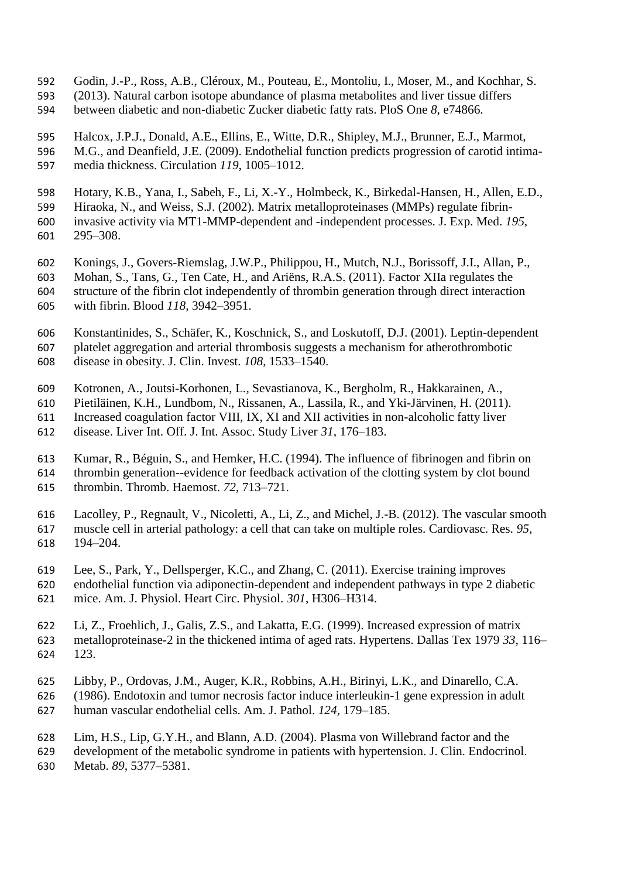- Godin, J.-P., Ross, A.B., Cléroux, M., Pouteau, E., Montoliu, I., Moser, M., and Kochhar, S.
- (2013). Natural carbon isotope abundance of plasma metabolites and liver tissue differs
- between diabetic and non-diabetic Zucker diabetic fatty rats. PloS One *8*, e74866.
- Halcox, J.P.J., Donald, A.E., Ellins, E., Witte, D.R., Shipley, M.J., Brunner, E.J., Marmot,
- M.G., and Deanfield, J.E. (2009). Endothelial function predicts progression of carotid intima-media thickness. Circulation *119*, 1005–1012.
- Hotary, K.B., Yana, I., Sabeh, F., Li, X.-Y., Holmbeck, K., Birkedal-Hansen, H., Allen, E.D.,
- Hiraoka, N., and Weiss, S.J. (2002). Matrix metalloproteinases (MMPs) regulate fibrin-
- invasive activity via MT1-MMP-dependent and -independent processes. J. Exp. Med. *195*, 295–308.
- Konings, J., Govers-Riemslag, J.W.P., Philippou, H., Mutch, N.J., Borissoff, J.I., Allan, P.,
- Mohan, S., Tans, G., Ten Cate, H., and Ariëns, R.A.S. (2011). Factor XIIa regulates the structure of the fibrin clot independently of thrombin generation through direct interaction with fibrin. Blood *118*, 3942–3951.
- Konstantinides, S., Schäfer, K., Koschnick, S., and Loskutoff, D.J. (2001). Leptin-dependent platelet aggregation and arterial thrombosis suggests a mechanism for atherothrombotic disease in obesity. J. Clin. Invest. *108*, 1533–1540.
- Kotronen, A., Joutsi-Korhonen, L., Sevastianova, K., Bergholm, R., Hakkarainen, A.,
- Pietiläinen, K.H., Lundbom, N., Rissanen, A., Lassila, R., and Yki-Järvinen, H. (2011).
- Increased coagulation factor VIII, IX, XI and XII activities in non-alcoholic fatty liver
- disease. Liver Int. Off. J. Int. Assoc. Study Liver *31*, 176–183.
- Kumar, R., Béguin, S., and Hemker, H.C. (1994). The influence of fibrinogen and fibrin on thrombin generation--evidence for feedback activation of the clotting system by clot bound
- thrombin. Thromb. Haemost. *72*, 713–721.
- Lacolley, P., Regnault, V., Nicoletti, A., Li, Z., and Michel, J.-B. (2012). The vascular smooth muscle cell in arterial pathology: a cell that can take on multiple roles. Cardiovasc. Res. *95*, 194–204.
- Lee, S., Park, Y., Dellsperger, K.C., and Zhang, C. (2011). Exercise training improves
- endothelial function via adiponectin-dependent and independent pathways in type 2 diabetic mice. Am. J. Physiol. Heart Circ. Physiol. *301*, H306–H314.
- Li, Z., Froehlich, J., Galis, Z.S., and Lakatta, E.G. (1999). Increased expression of matrix metalloproteinase-2 in the thickened intima of aged rats. Hypertens. Dallas Tex 1979 *33*, 116– 123.
- Libby, P., Ordovas, J.M., Auger, K.R., Robbins, A.H., Birinyi, L.K., and Dinarello, C.A.
- (1986). Endotoxin and tumor necrosis factor induce interleukin-1 gene expression in adult
- human vascular endothelial cells. Am. J. Pathol. *124*, 179–185.
- Lim, H.S., Lip, G.Y.H., and Blann, A.D. (2004). Plasma von Willebrand factor and the
- development of the metabolic syndrome in patients with hypertension. J. Clin. Endocrinol. Metab. *89*, 5377–5381.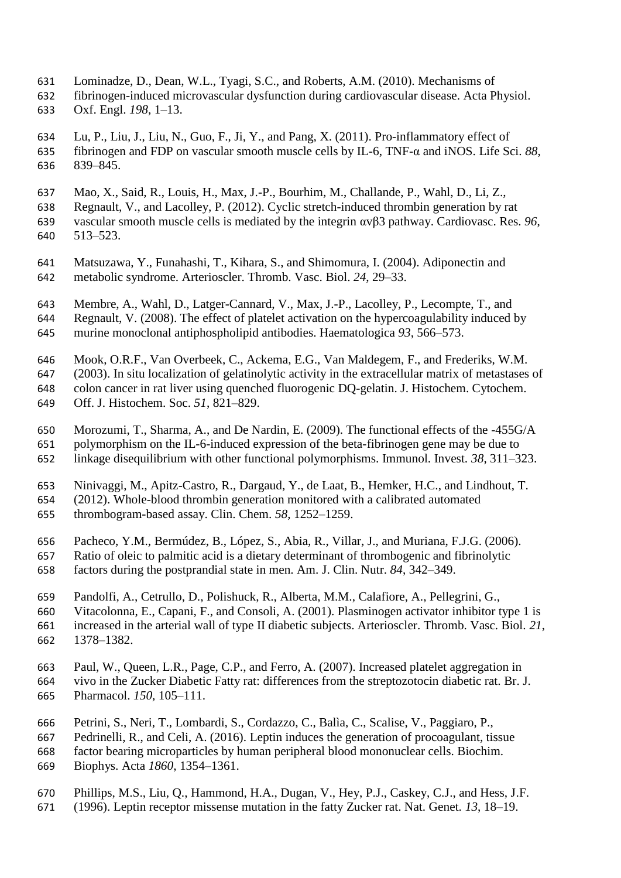- Lominadze, D., Dean, W.L., Tyagi, S.C., and Roberts, A.M. (2010). Mechanisms of
- fibrinogen-induced microvascular dysfunction during cardiovascular disease. Acta Physiol. Oxf. Engl. *198*, 1–13.
- Lu, P., Liu, J., Liu, N., Guo, F., Ji, Y., and Pang, X. (2011). Pro-inflammatory effect of fibrinogen and FDP on vascular smooth muscle cells by IL-6, TNF-α and iNOS. Life Sci. *88*, 839–845.
- Mao, X., Said, R., Louis, H., Max, J.-P., Bourhim, M., Challande, P., Wahl, D., Li, Z.,
- Regnault, V., and Lacolley, P. (2012). Cyclic stretch-induced thrombin generation by rat vascular smooth muscle cells is mediated by the integrin αvβ3 pathway. Cardiovasc. Res. *96*, 513–523.
- Matsuzawa, Y., Funahashi, T., Kihara, S., and Shimomura, I. (2004). Adiponectin and metabolic syndrome. Arterioscler. Thromb. Vasc. Biol. *24*, 29–33.
- Membre, A., Wahl, D., Latger-Cannard, V., Max, J.-P., Lacolley, P., Lecompte, T., and
- Regnault, V. (2008). The effect of platelet activation on the hypercoagulability induced by
- murine monoclonal antiphospholipid antibodies. Haematologica *93*, 566–573.
- Mook, O.R.F., Van Overbeek, C., Ackema, E.G., Van Maldegem, F., and Frederiks, W.M.
- (2003). In situ localization of gelatinolytic activity in the extracellular matrix of metastases of
- colon cancer in rat liver using quenched fluorogenic DQ-gelatin. J. Histochem. Cytochem.
- Off. J. Histochem. Soc. *51*, 821–829.
- Morozumi, T., Sharma, A., and De Nardin, E. (2009). The functional effects of the -455G/A
- polymorphism on the IL-6-induced expression of the beta-fibrinogen gene may be due to linkage disequilibrium with other functional polymorphisms. Immunol. Invest. *38*, 311–323.
- 
- Ninivaggi, M., Apitz-Castro, R., Dargaud, Y., de Laat, B., Hemker, H.C., and Lindhout, T.
- (2012). Whole-blood thrombin generation monitored with a calibrated automated thrombogram-based assay. Clin. Chem. *58*, 1252–1259.
- Pacheco, Y.M., Bermúdez, B., López, S., Abia, R., Villar, J., and Muriana, F.J.G. (2006).
- Ratio of oleic to palmitic acid is a dietary determinant of thrombogenic and fibrinolytic
- factors during the postprandial state in men. Am. J. Clin. Nutr. *84*, 342–349.
- Pandolfi, A., Cetrullo, D., Polishuck, R., Alberta, M.M., Calafiore, A., Pellegrini, G.,
- Vitacolonna, E., Capani, F., and Consoli, A. (2001). Plasminogen activator inhibitor type 1 is increased in the arterial wall of type II diabetic subjects. Arterioscler. Thromb. Vasc. Biol. *21*, 1378–1382.
- Paul, W., Queen, L.R., Page, C.P., and Ferro, A. (2007). Increased platelet aggregation in vivo in the Zucker Diabetic Fatty rat: differences from the streptozotocin diabetic rat. Br. J. Pharmacol. *150*, 105–111.
- Petrini, S., Neri, T., Lombardi, S., Cordazzo, C., Balìa, C., Scalise, V., Paggiaro, P.,
- Pedrinelli, R., and Celi, A. (2016). Leptin induces the generation of procoagulant, tissue
- factor bearing microparticles by human peripheral blood mononuclear cells. Biochim.
- Biophys. Acta *1860*, 1354–1361.
- Phillips, M.S., Liu, Q., Hammond, H.A., Dugan, V., Hey, P.J., Caskey, C.J., and Hess, J.F.
- (1996). Leptin receptor missense mutation in the fatty Zucker rat. Nat. Genet. *13*, 18–19.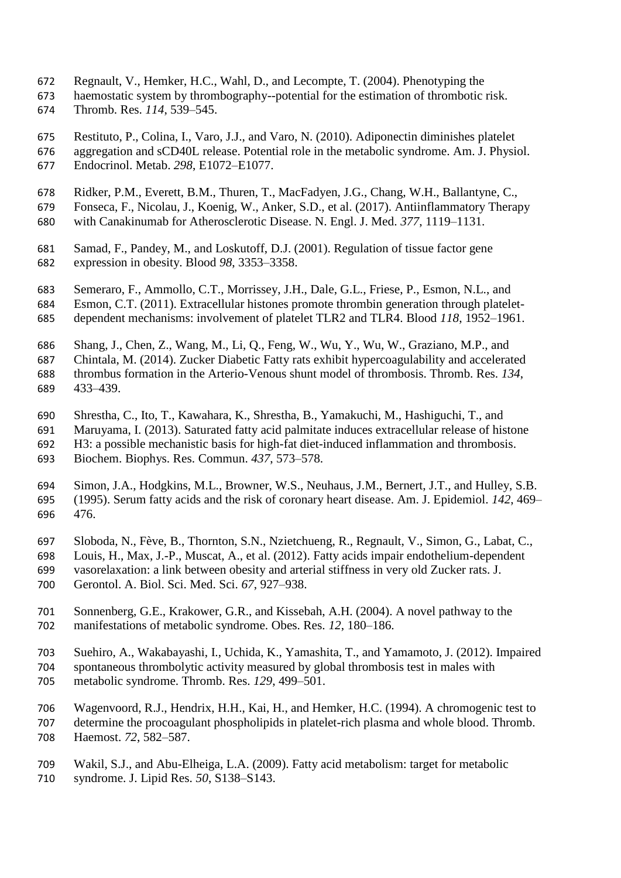- Regnault, V., Hemker, H.C., Wahl, D., and Lecompte, T. (2004). Phenotyping the
- haemostatic system by thrombography--potential for the estimation of thrombotic risk. Thromb. Res. *114*, 539–545.
- Restituto, P., Colina, I., Varo, J.J., and Varo, N. (2010). Adiponectin diminishes platelet aggregation and sCD40L release. Potential role in the metabolic syndrome. Am. J. Physiol. Endocrinol. Metab. *298*, E1072–E1077.
- Ridker, P.M., Everett, B.M., Thuren, T., MacFadyen, J.G., Chang, W.H., Ballantyne, C.,
- Fonseca, F., Nicolau, J., Koenig, W., Anker, S.D., et al. (2017). Antiinflammatory Therapy
- with Canakinumab for Atherosclerotic Disease. N. Engl. J. Med. *377*, 1119–1131.
- Samad, F., Pandey, M., and Loskutoff, D.J. (2001). Regulation of tissue factor gene expression in obesity. Blood *98*, 3353–3358.
- Semeraro, F., Ammollo, C.T., Morrissey, J.H., Dale, G.L., Friese, P., Esmon, N.L., and
- Esmon, C.T. (2011). Extracellular histones promote thrombin generation through platelet-dependent mechanisms: involvement of platelet TLR2 and TLR4. Blood *118*, 1952–1961.
- 
- Shang, J., Chen, Z., Wang, M., Li, Q., Feng, W., Wu, Y., Wu, W., Graziano, M.P., and
- Chintala, M. (2014). Zucker Diabetic Fatty rats exhibit hypercoagulability and accelerated thrombus formation in the Arterio-Venous shunt model of thrombosis. Thromb. Res. *134*, 433–439.
- Shrestha, C., Ito, T., Kawahara, K., Shrestha, B., Yamakuchi, M., Hashiguchi, T., and
- Maruyama, I. (2013). Saturated fatty acid palmitate induces extracellular release of histone
- H3: a possible mechanistic basis for high-fat diet-induced inflammation and thrombosis.
- Biochem. Biophys. Res. Commun. *437*, 573–578.
- Simon, J.A., Hodgkins, M.L., Browner, W.S., Neuhaus, J.M., Bernert, J.T., and Hulley, S.B. (1995). Serum fatty acids and the risk of coronary heart disease. Am. J. Epidemiol. *142*, 469– 476.
- Sloboda, N., Fève, B., Thornton, S.N., Nzietchueng, R., Regnault, V., Simon, G., Labat, C.,
- Louis, H., Max, J.-P., Muscat, A., et al. (2012). Fatty acids impair endothelium-dependent
- vasorelaxation: a link between obesity and arterial stiffness in very old Zucker rats. J. Gerontol. A. Biol. Sci. Med. Sci. *67*, 927–938.
- Sonnenberg, G.E., Krakower, G.R., and Kissebah, A.H. (2004). A novel pathway to the manifestations of metabolic syndrome. Obes. Res. *12*, 180–186.
- Suehiro, A., Wakabayashi, I., Uchida, K., Yamashita, T., and Yamamoto, J. (2012). Impaired spontaneous thrombolytic activity measured by global thrombosis test in males with metabolic syndrome. Thromb. Res. *129*, 499–501.
- Wagenvoord, R.J., Hendrix, H.H., Kai, H., and Hemker, H.C. (1994). A chromogenic test to determine the procoagulant phospholipids in platelet-rich plasma and whole blood. Thromb. Haemost. *72*, 582–587.
- Wakil, S.J., and Abu-Elheiga, L.A. (2009). Fatty acid metabolism: target for metabolic
- syndrome. J. Lipid Res. *50*, S138–S143.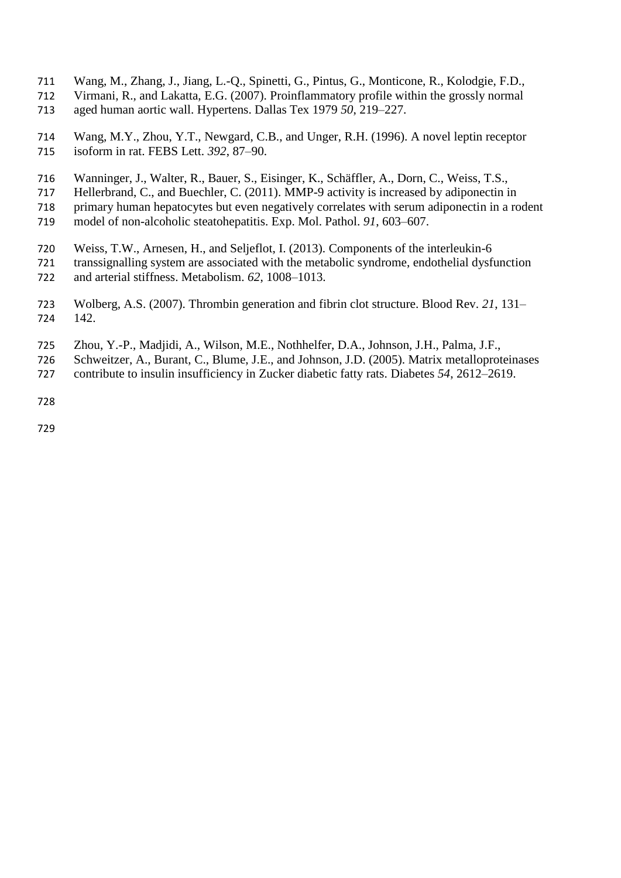- Wang, M., Zhang, J., Jiang, L.-Q., Spinetti, G., Pintus, G., Monticone, R., Kolodgie, F.D.,
- Virmani, R., and Lakatta, E.G. (2007). Proinflammatory profile within the grossly normal aged human aortic wall. Hypertens. Dallas Tex 1979 *50*, 219–227.
- Wang, M.Y., Zhou, Y.T., Newgard, C.B., and Unger, R.H. (1996). A novel leptin receptor isoform in rat. FEBS Lett. *392*, 87–90.
- Wanninger, J., Walter, R., Bauer, S., Eisinger, K., Schäffler, A., Dorn, C., Weiss, T.S.,
- Hellerbrand, C., and Buechler, C. (2011). MMP-9 activity is increased by adiponectin in
- primary human hepatocytes but even negatively correlates with serum adiponectin in a rodent
- model of non-alcoholic steatohepatitis. Exp. Mol. Pathol. *91*, 603–607.
- Weiss, T.W., Arnesen, H., and Seljeflot, I. (2013). Components of the interleukin-6 transsignalling system are associated with the metabolic syndrome, endothelial dysfunction and arterial stiffness. Metabolism. *62*, 1008–1013.
- Wolberg, A.S. (2007). Thrombin generation and fibrin clot structure. Blood Rev. *21*, 131– 142.
- Zhou, Y.-P., Madjidi, A., Wilson, M.E., Nothhelfer, D.A., Johnson, J.H., Palma, J.F.,
- Schweitzer, A., Burant, C., Blume, J.E., and Johnson, J.D. (2005). Matrix metalloproteinases
- contribute to insulin insufficiency in Zucker diabetic fatty rats. Diabetes *54*, 2612–2619.
-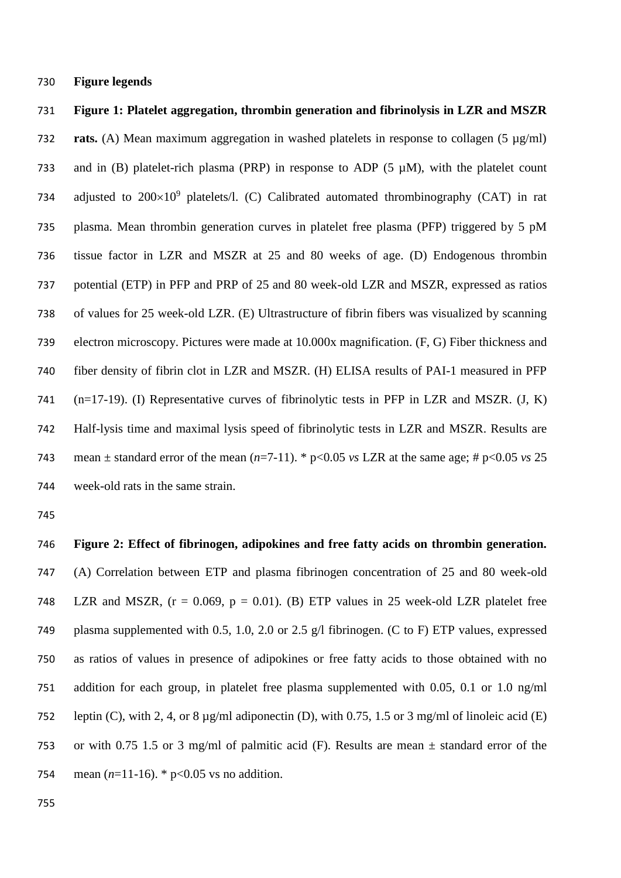**Figure legends**

 **Figure 1: Platelet aggregation, thrombin generation and fibrinolysis in LZR and MSZR rats.** (A) Mean maximum aggregation in washed platelets in response to collagen (5 µg/ml) 733 and in (B) platelet-rich plasma (PRP) in response to ADP (5  $\mu$ M), with the platelet count 734 adjusted to  $200\times10^9$  platelets/l. (C) Calibrated automated thrombinography (CAT) in rat plasma. Mean thrombin generation curves in platelet free plasma (PFP) triggered by 5 pM tissue factor in LZR and MSZR at 25 and 80 weeks of age. (D) Endogenous thrombin potential (ETP) in PFP and PRP of 25 and 80 week-old LZR and MSZR, expressed as ratios of values for 25 week-old LZR. (E) Ultrastructure of fibrin fibers was visualized by scanning electron microscopy. Pictures were made at 10.000x magnification. (F, G) Fiber thickness and fiber density of fibrin clot in LZR and MSZR. (H) ELISA results of PAI-1 measured in PFP (n=17-19). (I) Representative curves of fibrinolytic tests in PFP in LZR and MSZR. (J, K) Half-lysis time and maximal lysis speed of fibrinolytic tests in LZR and MSZR. Results are 743 mean  $\pm$  standard error of the mean  $(n=7-11)$ . \*  $p<0.05$  *vs* LZR at the same age; #  $p<0.05$  *vs* 25 week-old rats in the same strain.

 **Figure 2: Effect of fibrinogen, adipokines and free fatty acids on thrombin generation.** (A) Correlation between ETP and plasma fibrinogen concentration of 25 and 80 week-old 748 LZR and MSZR,  $(r = 0.069, p = 0.01)$ . (B) ETP values in 25 week-old LZR platelet free plasma supplemented with 0.5, 1.0, 2.0 or 2.5 g/l fibrinogen. (C to F) ETP values, expressed as ratios of values in presence of adipokines or free fatty acids to those obtained with no addition for each group, in platelet free plasma supplemented with 0.05, 0.1 or 1.0 ng/ml leptin (C), with 2, 4, or 8 µg/ml adiponectin (D), with 0.75, 1.5 or 3 mg/ml of linoleic acid (E) 753 or with 0.75 1.5 or 3 mg/ml of palmitic acid (F). Results are mean  $\pm$  standard error of the 754 mean  $(n=11-16)$ . \*  $p<0.05$  vs no addition.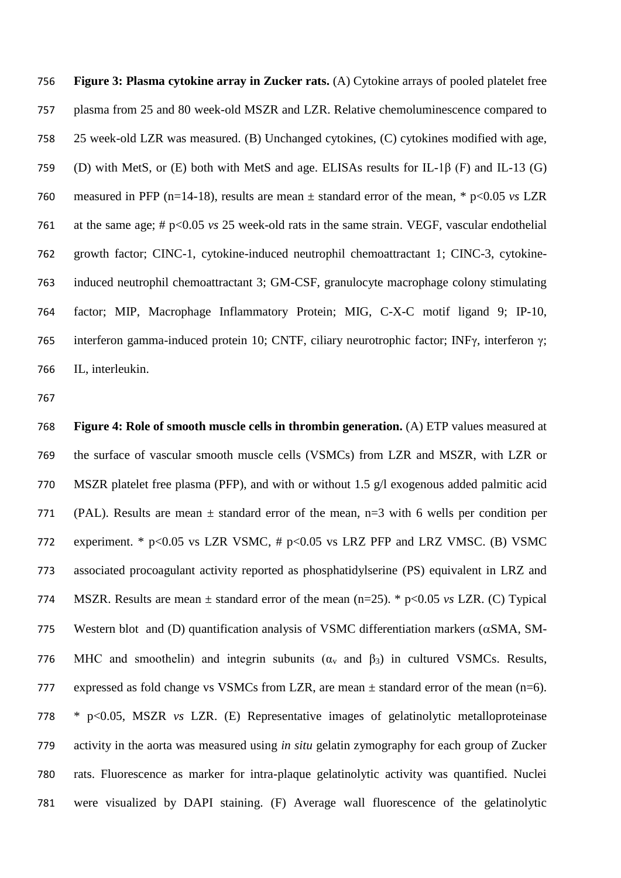**Figure 3: Plasma cytokine array in Zucker rats.** (A) Cytokine arrays of pooled platelet free plasma from 25 and 80 week-old MSZR and LZR. Relative chemoluminescence compared to 25 week-old LZR was measured. (B) Unchanged cytokines, (C) cytokines modified with age, (D) with MetS, or (E) both with MetS and age. ELISAs results for IL-1β (F) and IL-13 (G) measured in PFP (n=14-18), results are mean ± standard error of the mean, \* p<0.05 *vs* LZR at the same age; # p<0.05 *vs* 25 week-old rats in the same strain. VEGF, [vascular endothelial](http://en.wikipedia.org/wiki/Vascular_endothelial_growth_factor)  [growth factor;](http://en.wikipedia.org/wiki/Vascular_endothelial_growth_factor) CINC-1, [cytokine-induced neutrophil chemoattractant 1;](http://www.ncbi.nlm.nih.gov/pubmed/12517731) CINC-3, cytokine- induced neutrophil chemoattractant 3; GM-CSF, granulocyte macrophage colony stimulating factor; MIP, Macrophage Inflammatory Protein; MIG, C-X-C motif ligand 9; IP-10, interferon gamma-induced protein 10; CNTF, ciliary neurotrophic factor; INFγ, interferon γ; IL, interleukin.

 **Figure 4: Role of smooth muscle cells in thrombin generation.** (A) ETP values measured at the surface of vascular smooth muscle cells (VSMCs) from LZR and MSZR, with LZR or MSZR platelet free plasma (PFP), and with or without 1.5 g/l exogenous added palmitic acid 771 (PAL). Results are mean  $\pm$  standard error of the mean, n=3 with 6 wells per condition per experiment. \* p<0.05 vs LZR VSMC, # p<0.05 vs LRZ PFP and LRZ VMSC. (B) VSMC associated procoagulant activity reported as phosphatidylserine (PS) equivalent in LRZ and MSZR. Results are mean ± standard error of the mean (n=25). \* p<0.05 *vs* LZR. (C) Typical 775 Western blot and (D) quantification analysis of VSMC differentiation markers ( $\alpha$ SMA, SM-776 MHC and smoothelin) and integrin subunits ( $\alpha_v$  and  $\beta_3$ ) in cultured VSMCs. Results, 777 expressed as fold change vs VSMCs from LZR, are mean  $\pm$  standard error of the mean (n=6). \* p<0.05, MSZR *vs* LZR. (E) Representative images of gelatinolytic metalloproteinase activity in the aorta was measured using *in situ* gelatin zymography for each group of Zucker rats. Fluorescence as marker for intra-plaque gelatinolytic activity was quantified. Nuclei were visualized by DAPI staining. (F) Average wall fluorescence of the gelatinolytic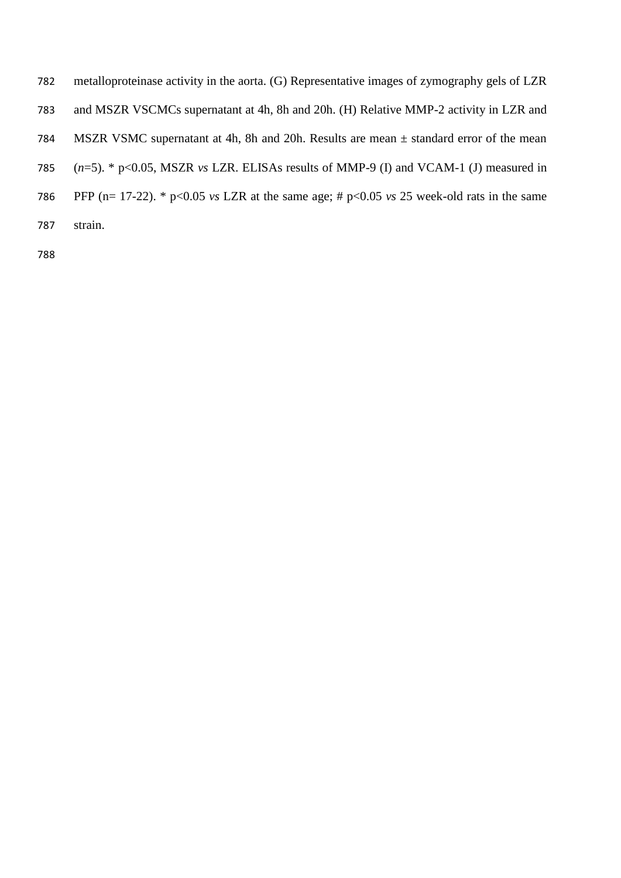- metalloproteinase activity in the aorta. (G) Representative images of zymography gels of LZR and MSZR VSCMCs supernatant at 4h, 8h and 20h. (H) Relative MMP-2 activity in LZR and MSZR VSMC supernatant at 4h, 8h and 20h. Results are mean ± standard error of the mean
- (*n*=5). \* p<0.05, MSZR *vs* LZR. ELISAs results of MMP-9 (I) and VCAM-1 (J) measured in
- PFP (n= 17-22). \* p<0.05 *vs* LZR at the same age; # p<0.05 *vs* 25 week-old rats in the same
- strain.
-